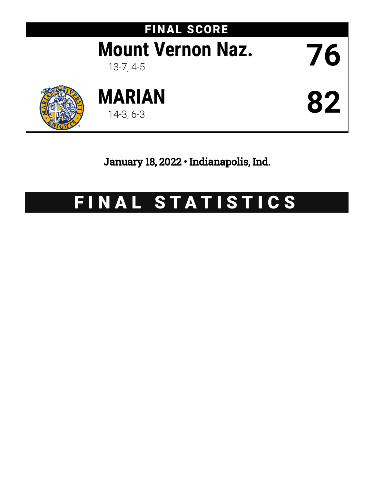

January 18, 2022 • Indianapolis, Ind.

# FINAL STATISTICS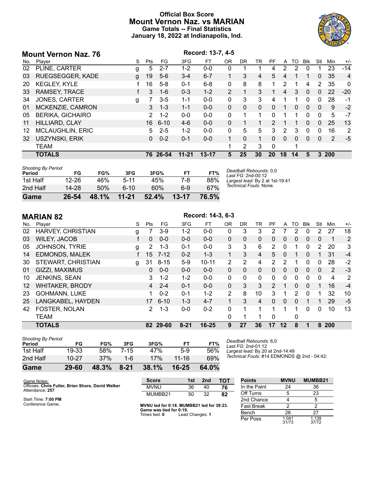# **Official Box Score Mount Vernon Naz. vs MARIAN Game Totals -- Final Statistics January 18, 2022 at Indianapolis, Ind.**



|     | <b>Mount Vernon Naz. 76</b> |   |                |          |           | Record: 13-7, 4-5 |                |          |             |               |                |          |             |              |     |                |
|-----|-----------------------------|---|----------------|----------|-----------|-------------------|----------------|----------|-------------|---------------|----------------|----------|-------------|--------------|-----|----------------|
| No. | Player                      | S | Pts            | FG.      | 3FG       | FT.               | 0 <sub>R</sub> | DR.      | TR          | РF            | A              | TO       | <b>B</b> lk | Stl          | Min | $+/-$          |
| 02  | PLINE, CARTER               | g | 5              | $2 - 7$  | $1 - 2$   | $0 - 0$           | 0              |          |             | 4             | $\overline{2}$ | 2        | $\Omega$    |              | 23  | $-14$          |
| 03  | <b>RUEGSEGGER, KADE</b>     | g | 19             | $5-6$    | $3 - 4$   | $6 - 7$           |                | 3        | 4           | 5             | 4              |          |             | $\mathbf{0}$ | 35  | $\overline{4}$ |
| 20  | <b>KEGLEY, KYLE</b>         |   | 16             | $5-8$    | $0 - 1$   | $6 - 8$           | 0              | 8        | 8           |               | 2              | 1        | 4           | 2            | 35  | $\Omega$       |
| 33  | RAMSEY, TRACE               |   | 3              | $1 - 6$  | $0 - 3$   | $1 - 2$           | $\overline{2}$ | 1        | 3           |               | 4              | 3        | $\Omega$    | $\Omega$     | 22  | $-20$          |
| 34  | <b>JONES, CARTER</b>        | g |                | $3-5$    | $1 - 1$   | $0 - 0$           | 0              | 3        | 3           | 4             |                |          | 0           | $\Omega$     | 28  | $-1$           |
| 01  | MCKENZIE, CAMRON            |   | 3              | $1 - 3$  | $1 - 1$   | $0 - 0$           | 0              | $\Omega$ | $\Omega$    | 0             | 1              | 0        | $\Omega$    | $\Omega$     | 9   | $-2$           |
| 05  | <b>BERIKA, GICHAIRO</b>     |   | $\overline{2}$ | $1 - 2$  | $0 - 0$   | $0 - 0$           | 0              | 1        | 1           | 0             | 1              |          | $\Omega$    | $\Omega$     | 5   | $-7$           |
| 11  | HILLIARD, CLAY              |   | 16             | 6-10     | $4-6$     | $0 - 0$           | $\Omega$       | 1        |             | $\mathcal{P}$ |                |          | $\Omega$    | $\Omega$     | 25  | 13             |
| 12  | <b>MCLAUGHLIN, ERIC</b>     |   | 5.             | $2 - 5$  | $1 - 2$   | $0 - 0$           | 0              | 5        | 5           | 3             | 2              | 3        | $\Omega$    | $\Omega$     | 16  | 2              |
| 32  | <b>USZYNSKI, ERIK</b>       |   | $\Omega$       | $0 - 2$  | $0 - 1$   | $0 - 0$           | 1.             | $\Omega$ | $\mathbf 1$ | $\Omega$      | $\Omega$       | $\Omega$ | $\Omega$    | $\Omega$     | 2   | $-5$           |
|     | <b>TEAM</b>                 |   |                |          |           |                   |                | 2        | 3           | $\mathbf{0}$  |                |          |             |              |     |                |
|     | <b>TOTALS</b>               |   |                | 76 26-54 | $11 - 21$ | $13 - 17$         | 5              | 25       | 30          | 20            | 18             | 14       | 5           | 3            | 200 |                |

| <b>Shooting By Period</b> |       |       |           |       |           |       |
|---------------------------|-------|-------|-----------|-------|-----------|-------|
| Period                    | FG    | FG%   | 3FG       | 3FG%  | FT        | FT%   |
| 1st Half                  | 12-26 | 46%   | $5 - 11$  | 45%   | 7-8       | 88%   |
| 2nd Half                  | 14-28 | 50%   | ჩ-10      | 60%   | 6-9       | 67%   |
| Game                      | 26-54 | 48.1% | $11 - 21$ | 52.4% | $13 - 17$ | 76.5% |

*Deadball Rebounds:* 0,0 *Last FG:* 2nd-00:12 *Largest lead:* By 2 at 1st-19:41 *Technical Fouls:* None.

|         | Record: 14-3, 6-3<br><b>MARIAN 82</b> |   |                |          |          |           |                |              |                |                |              |               |              |              |     |       |
|---------|---------------------------------------|---|----------------|----------|----------|-----------|----------------|--------------|----------------|----------------|--------------|---------------|--------------|--------------|-----|-------|
| No.     | Plaver                                | S | <b>Pts</b>     | FG       | 3FG      | FТ        | 0 <sub>R</sub> | <b>DR</b>    | TR             | <b>PF</b>      | A            | TO            | <b>Blk</b>   | Stl          | Min | $+/-$ |
| 02      | HARVEY, CHRISTIAN                     | g |                | $3-9$    | $1 - 2$  | $0 - 0$   | 0              | 3            | 3              | 2              |              | 2             | $\Omega$     | 2            | 27  | 18    |
| 03      | <b>WILEY, JACOB</b>                   |   | $\Omega$       | $0 - 0$  | $0 - 0$  | $0 - 0$   | $\mathbf{0}$   | $\mathbf{0}$ | $\mathbf{0}$   | $\Omega$       | 0            | $\Omega$      | $\Omega$     | $\mathbf{0}$ | 1   | 2     |
| 05      | <b>JOHNSON, TYRIE</b>                 | g | 2.             | $1 - 3$  | $0 - 1$  | $0 - 0$   | 3              | 3            | 6              | 2              | 0            |               | $\Omega$     | 2            | 20  | 3     |
| 14      | <b>EDMONDS, MALEK</b>                 |   | 15             | $7 - 12$ | $0 - 2$  | $1 - 3$   | $\mathbf{1}$   | 3            | 4              | 5              | 0            |               | $\mathbf{0}$ | 1            | 31  | $-4$  |
| 30      | STEWART, CHRISTIAN                    | g | 31             | $8 - 15$ | $5-9$    | $10 - 11$ | 2              | 2            | 4              | $\overline{2}$ | 2            |               | 0            | 0            | 28  | $-2$  |
| 01      | GIZZI, MAXIMUS                        |   | 0              | $0 - 0$  | $0 - 0$  | $0 - 0$   | $\Omega$       | $\mathbf{0}$ | $\mathbf{0}$   | $\Omega$       | 0            | 0             | $\Omega$     | $\Omega$     | 2   | $-3$  |
| 10      | JENKINS, SEAN                         |   | 3              | $1 - 2$  | $1 - 2$  | $0 - 0$   | 0              | $\mathbf{0}$ | $\Omega$       | 0              | $\mathbf{0}$ | 0             | $\Omega$     | 0            | 4   | 2     |
| $12 \,$ | <b>WHITAKER, BRODY</b>                |   | $\overline{4}$ | $2 - 4$  | $0 - 1$  | $0 - 0$   | $\Omega$       | 3            | 3              | $\mathcal{P}$  | 1            | $\Omega$      | $\Omega$     | 1            | 16  | $-4$  |
| 23      | <b>GOHMANN, LUKE</b>                  |   |                | $0 - 2$  | $0 - 1$  | $1 - 2$   | 2              | 8            | 10             | 3              |              | $\mathcal{P}$ | $\Omega$     | 1            | 32  | 10    |
| 25      | LANGKABEL, HAYDEN                     |   | 17             | $6 - 10$ | $1 - 3$  | $4 - 7$   | 1              | 3            | $\overline{4}$ | $\Omega$       | $\Omega$     | $\Omega$      |              | 1            | 29  | $-5$  |
| 42      | FOSTER, NOLAN                         |   | 2              | $1 - 3$  | $0-0$    | $0 - 2$   | 0              | 1            |                | 1              | 1            |               | $\Omega$     | 0            | 10  | 13    |
|         | <b>TEAM</b>                           |   |                |          |          |           | $\Omega$       | 1            |                | $\Omega$       |              | 0             |              |              |     |       |
|         | <b>TOTALS</b>                         |   |                | 82 29-60 | $8 - 21$ | $16 - 25$ | 9              | 27           | 36             | 17             | $12 \,$      | 8             |              | 8            | 200 |       |

| <b>Shooting By Period</b> |           |       |          |       |           |       |
|---------------------------|-----------|-------|----------|-------|-----------|-------|
| Period                    | FG        | FG%   | 3FG      | 3FG%  | FТ        | FT%   |
| 1st Half                  | 19-33     | 58%   | 7-15     | 47%   | $5-9$     | 56%   |
| 2nd Half                  | $10 - 27$ | 37%   | 1-6      | 17%   | 11-16     | 69%   |
| Game                      | 29-60     | 48.3% | $8 - 21$ | 38.1% | $16 - 25$ | 64.0% |

*Deadball Rebounds:* 6,0 *Last FG:* 2nd-01:12 *Largest lead:* By 20 at 2nd-14:49 *Technical Fouls:* #14 EDMONDS @ 2nd - 04:42;

| Game Notes:                                        | <b>Score</b>                              | 1st             | 2nd               | тот | <b>Points</b> |  |
|----------------------------------------------------|-------------------------------------------|-----------------|-------------------|-----|---------------|--|
| Officials: Chris Fuller, Brian Shore, David Walker | <b>MVNU</b>                               | 36              | 40                | 76  | In the Paint  |  |
| Attendance: 257                                    | MUMBB21                                   | 50              | 32<br>82          |     | Off Turns     |  |
| Start Time: 7:00 PM                                |                                           |                 |                   |     | 2nd Chance    |  |
| Conference Game:                                   | MVNU led for 0:18. MUMBB21 led for 39:23. |                 | <b>Fast Break</b> |     |               |  |
|                                                    | Game was tied for 0:19.<br>Times tied: 0  |                 | Bench             |     |               |  |
|                                                    |                                           | Lead Changes: 1 |                   |     | Per Poss      |  |

| <b>Points</b>     | <b>MVNU</b>    | MUMBB21        |
|-------------------|----------------|----------------|
| In the Paint      | 24             | 36             |
| Off Turns         | 5              | 23             |
| 2nd Chance        |                | 5              |
| <b>Fast Break</b> | 2              | 2              |
| Bench             | 26             | 27             |
| Per Poss          | 1.041<br>31/73 | 1.139<br>37/72 |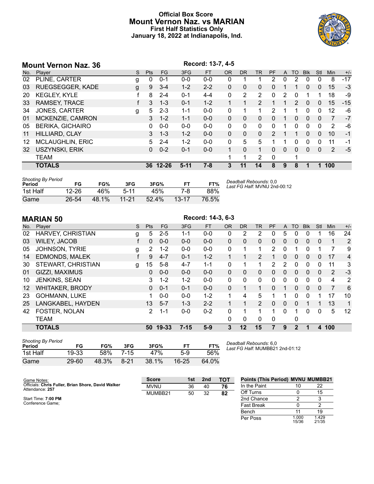# **Official Box Score Mount Vernon Naz. vs MARIAN First Half Statistics Only January 18, 2022 at Indianapolis, Ind.**

|     | Record: 13-7, 4-5<br><b>Mount Vernon Naz. 36</b> |   |            |          |          |           |           |                |              |               |   |           |              |          |     |       |
|-----|--------------------------------------------------|---|------------|----------|----------|-----------|-----------|----------------|--------------|---------------|---|-----------|--------------|----------|-----|-------|
| No. | Player                                           | S | <b>Pts</b> | FG       | 3FG      | <b>FT</b> | <b>OR</b> | D <sub>R</sub> | <b>TR</b>    | PF            | A | <b>TO</b> | <b>Blk</b>   | Stl      | Min | $+/-$ |
| 02  | PLINE, CARTER                                    | g | 0          | $0 - 1$  | $0 - 0$  | $0 - 0$   | 0         |                |              | 2             | 0 | 2         | $\Omega$     | 0        | 8   | $-17$ |
| 03  | <b>RUEGSEGGER, KADE</b>                          | g | 9          | $3 - 4$  | $1 - 2$  | $2 - 2$   | 0         | 0              | $\mathbf{0}$ | 0             |   |           | $\mathbf{0}$ | 0        | 15  | $-3$  |
| 20  | <b>KEGLEY, KYLE</b>                              |   | 8          | $2 - 4$  | $0 - 1$  | $4 - 4$   | 0         | 2              | 2            | 0             | 2 | 0         |              |          | 18  | -9    |
| 33  | <b>RAMSEY, TRACE</b>                             |   | 3          | $1 - 3$  | $0 - 1$  | $1 - 2$   |           |                | 2            |               |   | 2         | $\mathbf{0}$ | $\Omega$ | 15  | $-15$ |
| 34  | <b>JONES, CARTER</b>                             | g | 5.         | $2 - 3$  | $1 - 1$  | $0 - 0$   | 0         |                | 1            | 2             | 1 | 1         | $\Omega$     | $\Omega$ | 12  | -6    |
| 01  | MCKENZIE, CAMRON                                 |   | 3          | $1 - 2$  | $1 - 1$  | $0 - 0$   | $\Omega$  | $\Omega$       | $\Omega$     | $\Omega$      |   | 0         | $\Omega$     | $\Omega$ | 7   | $-7$  |
| 05  | <b>BERIKA, GICHAIRO</b>                          |   | 0          | $0 - 0$  | $0 - 0$  | $0 - 0$   | $\Omega$  | $\Omega$       | $\Omega$     | 0             |   | 0         | $\Omega$     | 0        | 2   | -6    |
| 11  | HILLIARD, CLAY                                   |   | 3          | $1 - 3$  | $1 - 2$  | $0 - 0$   | $\Omega$  | $\Omega$       | $\Omega$     | $\mathcal{P}$ | 1 | 1         | $\Omega$     | 0        | 10  | $-1$  |
| 12  | <b>MCLAUGHLIN, ERIC</b>                          |   | 5.         | $2 - 4$  | $1 - 2$  | $0 - 0$   | 0         | 5              | 5            |               |   | 0         | 0            | 0        | 11  | $-1$  |
| 32  | USZYNSKI, ERIK                                   |   | 0          | $0 - 2$  | $0 - 1$  | $0 - 0$   | 1         | $\Omega$       | 1            | 0             | 0 | 0         | $\Omega$     | 0        | 2   | $-5$  |
|     | <b>TEAM</b>                                      |   |            |          |          |           | 1         |                | 2            | $\Omega$      |   | 1         |              |          |     |       |
|     | <b>TOTALS</b>                                    |   |            | 36 12-26 | $5 - 11$ | $7 - 8$   | 3         | 11             | 14           | 8             | 9 | 8         |              |          | 100 |       |
|     |                                                  |   |            |          |          |           |           |                |              |               |   |           |              |          |     |       |

| <b>Shooting By Period</b> |           |       |           |       |           |       |
|---------------------------|-----------|-------|-----------|-------|-----------|-------|
| Period                    | FG        | FG%   | 3FG       | 3FG%  |           | FT%   |
| 1st Half                  | $12 - 26$ | 46%   | 5-11      | 45%   | 7-8       | 88%   |
| Game                      | $26 - 54$ | 48.1% | $11 - 21$ | 52.4% | $13 - 17$ | 76.5% |

*Deadball Rebounds:* 0,0 *Last FG Half:* MVNU 2nd-00:12

|                   | Record: 14-3, 6-3<br><b>MARIAN 50</b> |   |                |         |          |           |           |              |                |                |              |                |              |          |                |                |
|-------------------|---------------------------------------|---|----------------|---------|----------|-----------|-----------|--------------|----------------|----------------|--------------|----------------|--------------|----------|----------------|----------------|
| No.               | Player                                | S | <b>Pts</b>     | FG      | 3FG      | <b>FT</b> | <b>OR</b> | <b>DR</b>    | <b>TR</b>      | <b>PF</b>      | $\mathsf{A}$ | <b>TO</b>      | <b>Blk</b>   | Stl      | <b>Min</b>     | $+/-$          |
| 02                | HARVEY, CHRISTIAN                     | g | 5              | $2 - 5$ | $1 - 1$  | $0 - 0$   | 0         | 2            | 2              | 0              | 5            | 0              | $\Omega$     |          | 16             | 24             |
| 03                | <b>WILEY, JACOB</b>                   |   | $\Omega$       | $0 - 0$ | $0 - 0$  | $0 - 0$   | $\Omega$  | $\Omega$     | 0              | $\Omega$       | 0            | 0              | $\Omega$     | 0        | 1              | 2              |
| 05                | <b>JOHNSON, TYRIE</b>                 | g | 2              | $1 - 2$ | $0 - 0$  | $0-0$     | 0         | 1            |                | 2              | 0            |                | $\mathbf{0}$ | 1        | 7              | 9              |
| 14                | <b>EDMONDS, MALEK</b>                 |   | 9              | $4 - 7$ | $0 - 1$  | $1 - 2$   | 1         | $\mathbf{1}$ | $\overline{2}$ | 1              | 0            | 0              | $\Omega$     | 0        | 17             | $\overline{4}$ |
| 30                | STEWART, CHRISTIAN                    | g | 15             | $5 - 8$ | $4 - 7$  | $1 - 1$   | 0         | 1            | 1              | $\overline{2}$ | 2            | 0              | $\Omega$     | 0        | 11             | 3              |
| 01                | GIZZI, MAXIMUS                        |   | $\Omega$       | $0 - 0$ | $0 - 0$  | $0 - 0$   | $\Omega$  | $\Omega$     | $\mathbf{0}$   | 0              | 0            | 0              | $\Omega$     | 0        | 2              | $-3$           |
| 10                | JENKINS, SEAN                         |   | 3              | $1 - 2$ | $1 - 2$  | $0-0$     | 0         | 0            | $\mathbf{0}$   | 0              | 0            | 0              | $\Omega$     | 0        | 4              | 2              |
| $12 \overline{ }$ | <b>WHITAKER, BRODY</b>                |   | $\Omega$       | $0 - 1$ | $0 - 1$  | $0 - 0$   | $\Omega$  | 1            | 1              | $\Omega$       | 1            | $\Omega$       | $\Omega$     | $\Omega$ | $\overline{7}$ | 6              |
| 23                | <b>GOHMANN, LUKE</b>                  |   |                | $0 - 0$ | $0 - 0$  | $1 - 2$   |           | 4            | 5              |                |              | 0              | $\Omega$     | 1        | 17             | 10             |
| 25                | LANGKABEL, HAYDEN                     |   | 13             | $5 - 7$ | $1 - 3$  | $2 - 2$   |           | 1            | $\overline{2}$ | $\Omega$       | $\Omega$     | $\Omega$       |              | 1        | 13             | 1              |
| 42                | <b>FOSTER, NOLAN</b>                  |   | $\overline{2}$ | $1 - 1$ | $0 - 0$  | $0 - 2$   | 0         | 1            |                | 1              | 0            |                | $\Omega$     | 0        | 5              | 12             |
|                   | <b>TEAM</b>                           |   |                |         |          |           | 0         | 0            | 0              | 0              |              | 0              |              |          |                |                |
|                   | <b>TOTALS</b>                         |   | 50             | 19-33   | $7 - 15$ | $5-9$     | 3         | 12           | 15             |                | 9            | $\overline{2}$ |              | 4        | 100            |                |

| <b>Shooting By Period</b><br>Period | FG        | FG%   | 3FG    | 3FG%  | FT        | FT%   |
|-------------------------------------|-----------|-------|--------|-------|-----------|-------|
| 1st Half                            | 19-33     | 58%   | 7-15   | 47%   | 5-9       | 56%   |
| Game                                | $29 - 60$ | 48.3% | $8-21$ | 38.1% | $16 - 25$ | 64.0% |

*Deadball Rebounds:* 6,0 *Last FG Half:* MUMBB21 2nd-01:12

| Game Notes:                                                           | <b>Score</b> | 1st | 2nd | <b>TOT</b> | <b>Points (This Period) MVNU MU</b> |    |
|-----------------------------------------------------------------------|--------------|-----|-----|------------|-------------------------------------|----|
| Officials: Chris Fuller, Brian Shore, David Walker<br>Attendance: 257 | <b>MVNU</b>  | 36  | 40  | 76         | In the Paint                        | 10 |
|                                                                       | MUMBB21      | 50  | 32  | 82         | Off Turns                           |    |
| Start Time: 7:00 PM                                                   |              |     |     |            | 2nd Chance                          |    |
| Conference Game:                                                      |              |     |     |            | <b>Fast Break</b>                   |    |

| <b>Points (This Period) MVNU MUMBB21</b> |                |                |
|------------------------------------------|----------------|----------------|
| In the Paint                             | 10             | 22             |
| Off Turns                                | ი              | 15             |
| 2nd Chance                               | 2              | 3              |
| Fast Break                               | n              | 2              |
| Bench                                    | 11             | 19             |
| Per Poss                                 | 1.000<br>15/36 | 1.429<br>21/35 |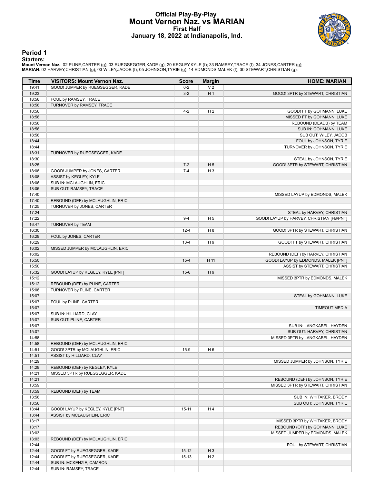# **Official Play-By-Play Mount Vernon Naz. vs MARIAN First Half January 18, 2022 at Indianapolis, Ind.**



**Period 1**

<mark>Starters:</mark><br>Mount Vernon Naz.: 02 PLINE,CARTER (g); 03 RUEGSEGGER,KADE (g); 20 KEGLEY,KYLE (f); 33 RAMSEY,TRACE (f); 34 JONES,CARTER (g);<br>MARIAN: 02 HARVEY,CHRISTIAN (g); 03 WILEY,JACOB (f); 05 JOHNSON,TYRIE (g); 14 EDMOND

| Time           | <b>VISITORS: Mount Vernon Naz.</b> | <b>Score</b> | <b>Margin</b>  | <b>HOME: MARIAN</b>                                         |
|----------------|------------------------------------|--------------|----------------|-------------------------------------------------------------|
| 19:41          | GOOD! JUMPER by RUEGSEGGER, KADE   | $0 - 2$      | V <sub>2</sub> |                                                             |
| 19:23          |                                    | $3 - 2$      | H <sub>1</sub> | GOOD! 3PTR by STEWART, CHRISTIAN                            |
| 18:56          | FOUL by RAMSEY, TRACE              |              |                |                                                             |
| 18:56          | TURNOVER by RAMSEY, TRACE          |              |                |                                                             |
| 18:56          |                                    | $4 - 2$      | H <sub>2</sub> | GOOD! FT by GOHMANN, LUKE                                   |
| 18:56          |                                    |              |                | MISSED FT by GOHMANN, LUKE                                  |
| 18:56          |                                    |              |                | REBOUND (DEADB) by TEAM                                     |
| 18:56          |                                    |              |                | SUB IN: GOHMANN, LUKE                                       |
| 18:56          |                                    |              |                | SUB OUT: WILEY, JACOB                                       |
| 18:44          |                                    |              |                | FOUL by JOHNSON, TYRIE                                      |
| 18:44<br>18:31 |                                    |              |                | TURNOVER by JOHNSON, TYRIE                                  |
| 18:30          | TURNOVER by RUEGSEGGER, KADE       |              |                |                                                             |
| 18:25          |                                    | $7 - 2$      | H <sub>5</sub> | STEAL by JOHNSON, TYRIE<br>GOOD! 3PTR by STEWART, CHRISTIAN |
| 18:08          | GOOD! JUMPER by JONES, CARTER      | $7 - 4$      | $H_3$          |                                                             |
| 18:08          | ASSIST by KEGLEY, KYLE             |              |                |                                                             |
| 18:06          | SUB IN: MCLAUGHLIN, ERIC           |              |                |                                                             |
| 18:06          | SUB OUT: RAMSEY, TRACE             |              |                |                                                             |
| 17:40          |                                    |              |                | MISSED LAYUP by EDMONDS, MALEK                              |
| 17:40          | REBOUND (DEF) by MCLAUGHLIN, ERIC  |              |                |                                                             |
| 17:25          | TURNOVER by JONES, CARTER          |              |                |                                                             |
| 17:24          |                                    |              |                | STEAL by HARVEY, CHRISTIAN                                  |
| 17:22          |                                    | $9 - 4$      | H <sub>5</sub> | GOOD! LAYUP by HARVEY, CHRISTIAN [FB/PNT]                   |
| 16:47          | TURNOVER by TEAM                   |              |                |                                                             |
| 16:30          |                                    | $12 - 4$     | H <sub>8</sub> | GOOD! 3PTR by STEWART, CHRISTIAN                            |
| 16:29          | FOUL by JONES, CARTER              |              |                |                                                             |
| 16:29          |                                    | $13 - 4$     | H9             | GOOD! FT by STEWART, CHRISTIAN                              |
| 16:02          | MISSED JUMPER by MCLAUGHLIN, ERIC  |              |                |                                                             |
| 16:02          |                                    |              |                | REBOUND (DEF) by HARVEY, CHRISTIAN                          |
| 15:50          |                                    | $15 - 4$     | H 11           | GOOD! LAYUP by EDMONDS, MALEK [PNT]                         |
| 15:50          |                                    |              |                | ASSIST by STEWART, CHRISTIAN                                |
| 15:32          | GOOD! LAYUP by KEGLEY, KYLE [PNT]  | $15-6$       | H9             |                                                             |
| 15:12          |                                    |              |                | MISSED 3PTR by EDMONDS, MALEK                               |
| 15:12          | REBOUND (DEF) by PLINE, CARTER     |              |                |                                                             |
| 15:08          | TURNOVER by PLINE, CARTER          |              |                |                                                             |
| 15:07          |                                    |              |                | STEAL by GOHMANN, LUKE                                      |
| 15:07          | FOUL by PLINE, CARTER              |              |                |                                                             |
| 15:07          |                                    |              |                | <b>TIMEOUT MEDIA</b>                                        |
| 15:07          | SUB IN: HILLIARD, CLAY             |              |                |                                                             |
| 15:07          | SUB OUT: PLINE, CARTER             |              |                |                                                             |
| 15:07          |                                    |              |                | SUB IN: LANGKABEL, HAYDEN                                   |
| 15:07          |                                    |              |                | SUB OUT: HARVEY, CHRISTIAN                                  |
| 14:58          |                                    |              |                | MISSED 3PTR by LANGKABEL, HAYDEN                            |
| 14:58          | REBOUND (DEF) by MCLAUGHLIN, ERIC  |              |                |                                                             |
| 14:51          | GOOD! 3PTR by MCLAUGHLIN, ERIC     | $15-9$       | H <sub>6</sub> |                                                             |
| 14:51          | ASSIST by HILLIARD, CLAY           |              |                |                                                             |
| 14:29          |                                    |              |                | MISSED JUMPER by JOHNSON, TYRIE                             |
| 14:29          | REBOUND (DEF) by KEGLEY, KYLE      |              |                |                                                             |
| 14:21          | MISSED 3PTR by RUEGSEGGER, KADE    |              |                |                                                             |
| 14:21          |                                    |              |                | REBOUND (DEF) by JOHNSON, TYRIE                             |
| 13:59          |                                    |              |                | MISSED 3PTR by STEWART, CHRISTIAN                           |
| 13:59          | REBOUND (DEF) by TEAM              |              |                |                                                             |
| 13:56          |                                    |              |                | SUB IN: WHITAKER, BRODY                                     |
| 13:56          |                                    |              |                | SUB OUT: JOHNSON, TYRIE                                     |
| 13:44          | GOOD! LAYUP by KEGLEY, KYLE [PNT]  | $15-11$      | H4             |                                                             |
| 13:44          | ASSIST by MCLAUGHLIN, ERIC         |              |                |                                                             |
| 13:17          |                                    |              |                | MISSED 3PTR by WHITAKER, BRODY                              |
| 13:17          |                                    |              |                | REBOUND (OFF) by GOHMANN, LUKE                              |
| 13:03          |                                    |              |                | MISSED JUMPER by EDMONDS, MALEK                             |
| 13:03<br>12:44 | REBOUND (DEF) by MCLAUGHLIN, ERIC  |              |                |                                                             |
| 12:44          | GOOD! FT by RUEGSEGGER, KADE       | $15-12$      | $H_3$          | FOUL by STEWART, CHRISTIAN                                  |
| 12:44          | GOOD! FT by RUEGSEGGER, KADE       | $15 - 13$    | H <sub>2</sub> |                                                             |
| 12:44          | SUB IN: MCKENZIE, CAMRON           |              |                |                                                             |
| 12:44          | SUB IN: RAMSEY, TRACE              |              |                |                                                             |
|                |                                    |              |                |                                                             |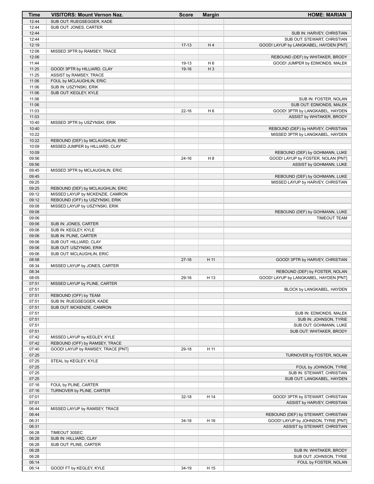| Time           | <b>VISITORS: Mount Vernon Naz.</b> | <b>Score</b> | <b>Margin</b>  | <b>HOME: MARIAN</b>                    |
|----------------|------------------------------------|--------------|----------------|----------------------------------------|
| 12:44          | SUB OUT: RUEGSEGGER, KADE          |              |                |                                        |
| 12:44          | SUB OUT: JONES, CARTER             |              |                |                                        |
| 12:44          |                                    |              |                | SUB IN: HARVEY, CHRISTIAN              |
| 12:44          |                                    |              |                | SUB OUT: STEWART, CHRISTIAN            |
| 12:19          |                                    | $17 - 13$    | H4             | GOOD! LAYUP by LANGKABEL, HAYDEN [PNT] |
| 12:06          | MISSED 3PTR by RAMSEY, TRACE       |              |                |                                        |
| 12:06          |                                    |              |                | REBOUND (DEF) by WHITAKER, BRODY       |
| 11:44          |                                    | 19-13        | H <sub>6</sub> | GOOD! JUMPER by EDMONDS, MALEK         |
| 11:25          | GOOD! 3PTR by HILLIARD, CLAY       | 19-16        | $H_3$          |                                        |
| 11:25          | ASSIST by RAMSEY, TRACE            |              |                |                                        |
| 11:06          | FOUL by MCLAUGHLIN, ERIC           |              |                |                                        |
| 11:06          | SUB IN: USZYNSKI, ERIK             |              |                |                                        |
| 11:06          | SUB OUT: KEGLEY, KYLE              |              |                |                                        |
| 11:06          |                                    |              |                | SUB IN: FOSTER, NOLAN                  |
| 11:06          |                                    |              |                | SUB OUT: EDMONDS, MALEK                |
| 11:03          |                                    | $22 - 16$    | H <sub>6</sub> | GOOD! 3PTR by LANGKABEL, HAYDEN        |
| 11:03          |                                    |              |                | ASSIST by WHITAKER, BRODY              |
| 10:40          | MISSED 3PTR by USZYNSKI, ERIK      |              |                |                                        |
| 10:40          |                                    |              |                | REBOUND (DEF) by HARVEY, CHRISTIAN     |
| 10:22          |                                    |              |                | MISSED 3PTR by LANGKABEL, HAYDEN       |
| 10:22          | REBOUND (DEF) by MCLAUGHLIN, ERIC  |              |                |                                        |
| 10:09          | MISSED JUMPER by HILLIARD, CLAY    |              |                |                                        |
| 10:09<br>09:56 |                                    |              |                | REBOUND (DEF) by GOHMANN, LUKE         |
| 09:56          |                                    | $24 - 16$    | H <sub>8</sub> | GOOD! LAYUP by FOSTER, NOLAN [PNT]     |
| 09:45          |                                    |              |                | ASSIST by GOHMANN, LUKE                |
| 09:45          | MISSED 3PTR by MCLAUGHLIN, ERIC    |              |                | REBOUND (DEF) by GOHMANN, LUKE         |
| 09:25          |                                    |              |                | MISSED LAYUP by HARVEY, CHRISTIAN      |
| 09:25          | REBOUND (DEF) by MCLAUGHLIN, ERIC  |              |                |                                        |
| 09:12          | MISSED LAYUP by MCKENZIE, CAMRON   |              |                |                                        |
| 09:12          | REBOUND (OFF) by USZYNSKI, ERIK    |              |                |                                        |
| 09:08          | MISSED LAYUP by USZYNSKI, ERIK     |              |                |                                        |
| 09:08          |                                    |              |                | REBOUND (DEF) by GOHMANN, LUKE         |
| 09:06          |                                    |              |                | <b>TIMEOUT TEAM</b>                    |
| 09:06          | SUB IN: JONES, CARTER              |              |                |                                        |
| 09:06          | SUB IN: KEGLEY, KYLE               |              |                |                                        |
| 09:06          | SUB IN: PLINE, CARTER              |              |                |                                        |
| 09:06          | SUB OUT: HILLIARD, CLAY            |              |                |                                        |
| 09:06          | SUB OUT: USZYNSKI, ERIK            |              |                |                                        |
| 09:06          | SUB OUT: MCLAUGHLIN, ERIC          |              |                |                                        |
| 08:58          |                                    | $27-16$      | H 11           | GOOD! 3PTR by HARVEY, CHRISTIAN        |
| 08:34          | MISSED LAYUP by JONES, CARTER      |              |                |                                        |
| 08:34          |                                    |              |                | REBOUND (DEF) by FOSTER, NOLAN         |
| 08:05          |                                    | 29-16        | H 13           | GOOD! LAYUP by LANGKABEL, HAYDEN [PNT] |
| 07:51          | MISSED LAYUP by PLINE, CARTER      |              |                |                                        |
| 07:51          |                                    |              |                | BLOCK by LANGKABEL, HAYDEN             |
| 07:51          | REBOUND (OFF) by TEAM              |              |                |                                        |
| 07:51          | SUB IN: RUEGSEGGER, KADE           |              |                |                                        |
| 07:51          | SUB OUT: MCKENZIE, CAMRON          |              |                |                                        |
| 07:51          |                                    |              |                | SUB IN: EDMONDS, MALEK                 |
| 07:51          |                                    |              |                | SUB IN: JOHNSON, TYRIE                 |
| 07:51          |                                    |              |                | SUB OUT: GOHMANN, LUKE                 |
| 07:51          |                                    |              |                | SUB OUT: WHITAKER, BRODY               |
| 07:42          | MISSED LAYUP by KEGLEY, KYLE       |              |                |                                        |
| 07:42          | REBOUND (OFF) by RAMSEY, TRACE     |              |                |                                        |
| 07:40          | GOOD! LAYUP by RAMSEY, TRACE [PNT] | 29-18        | H 11           |                                        |
| 07:25          |                                    |              |                | TURNOVER by FOSTER, NOLAN              |
| 07:25          | STEAL by KEGLEY, KYLE              |              |                |                                        |
| 07:25          |                                    |              |                | FOUL by JOHNSON, TYRIE                 |
| 07:25          |                                    |              |                | SUB IN: STEWART, CHRISTIAN             |
| 07:25          |                                    |              |                | SUB OUT: LANGKABEL, HAYDEN             |
| 07:16          | FOUL by PLINE, CARTER              |              |                |                                        |
| 07:16          | TURNOVER by PLINE, CARTER          |              |                |                                        |
| 07:01          |                                    | $32 - 18$    | H 14           | GOOD! 3PTR by STEWART, CHRISTIAN       |
| 07:01          |                                    |              |                | ASSIST by HARVEY, CHRISTIAN            |
| 06:44          | MISSED LAYUP by RAMSEY, TRACE      |              |                |                                        |
| 06:44          |                                    |              |                | REBOUND (DEF) by STEWART, CHRISTIAN    |
| 06:31          |                                    | $34-18$      | H 16           | GOOD! LAYUP by JOHNSON, TYRIE [PNT]    |
| 06:31          |                                    |              |                | ASSIST by STEWART, CHRISTIAN           |
| 06:28          | TIMEOUT 30SEC                      |              |                |                                        |
| 06:28          | SUB IN: HILLIARD, CLAY             |              |                |                                        |
| 06:28          | SUB OUT: PLINE, CARTER             |              |                |                                        |
| 06:28          |                                    |              |                | SUB IN: WHITAKER, BRODY                |
| 06:28          |                                    |              |                | SUB OUT: JOHNSON, TYRIE                |
| 06:14          |                                    | 34-19        |                | FOUL by FOSTER, NOLAN                  |
| 06:14          | GOOD! FT by KEGLEY, KYLE           |              | H 15           |                                        |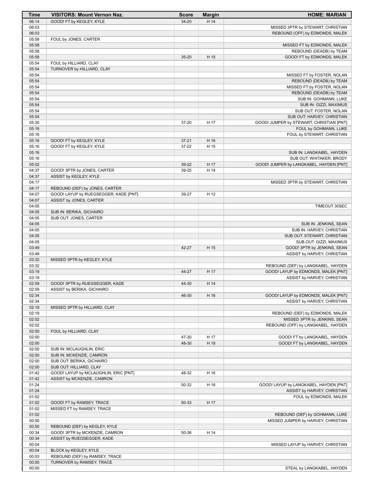| Time           | <b>VISITORS: Mount Vernon Naz.</b>                                      | <b>Score</b>       | <b>Margin</b> | <b>HOME: MARIAN</b>                                                   |
|----------------|-------------------------------------------------------------------------|--------------------|---------------|-----------------------------------------------------------------------|
| 06:14          | GOOD! FT by KEGLEY, KYLE                                                | $34 - 20$          | H 14          |                                                                       |
| 06:03          |                                                                         |                    |               | MISSED 3PTR by STEWART, CHRISTIAN                                     |
| 06:03          |                                                                         |                    |               | REBOUND (OFF) by EDMONDS, MALEK                                       |
| 05:58<br>05:58 | FOUL by JONES, CARTER                                                   |                    |               | MISSED FT by EDMONDS, MALEK                                           |
| 05:58          |                                                                         |                    |               | REBOUND (DEADB) by TEAM                                               |
| 05:58          |                                                                         | $35 - 20$          | H 15          | GOOD! FT by EDMONDS, MALEK                                            |
| 05:54          | FOUL by HILLIARD, CLAY                                                  |                    |               |                                                                       |
| 05:54          | TURNOVER by HILLIARD, CLAY                                              |                    |               |                                                                       |
| 05:54          |                                                                         |                    |               | MISSED FT by FOSTER, NOLAN                                            |
| 05:54          |                                                                         |                    |               | REBOUND (DEADB) by TEAM                                               |
| 05:54          |                                                                         |                    |               | MISSED FT by FOSTER, NOLAN                                            |
| 05:54<br>05:54 |                                                                         |                    |               | REBOUND (DEADB) by TEAM<br>SUB IN: GOHMANN, LUKE                      |
| 05:54          |                                                                         |                    |               | SUB IN: GIZZI, MAXIMUS                                                |
| 05:54          |                                                                         |                    |               | SUB OUT: FOSTER, NOLAN                                                |
| 05:54          |                                                                         |                    |               | SUB OUT: HARVEY, CHRISTIAN                                            |
| 05:30          |                                                                         | 37-20              | H 17          | GOOD! JUMPER by STEWART, CHRISTIAN [PNT]                              |
| 05:18          |                                                                         |                    |               | FOUL by GOHMANN, LUKE                                                 |
| 05:16          |                                                                         |                    |               | FOUL by STEWART, CHRISTIAN                                            |
| 05:16<br>05:16 | GOOD! FT by KEGLEY, KYLE<br>GOOD! FT by KEGLEY, KYLE                    | $37 - 21$<br>37-22 | H 16<br>H 15  |                                                                       |
| 05:16          |                                                                         |                    |               | SUB IN: LANGKABEL, HAYDEN                                             |
| 05:16          |                                                                         |                    |               | SUB OUT: WHITAKER, BRODY                                              |
| 05:02          |                                                                         | 39-22              | H 17          | GOOD! JUMPER by LANGKABEL, HAYDEN [PNT]                               |
| 04:37          | GOOD! 3PTR by JONES, CARTER                                             | 39-25              | H 14          |                                                                       |
| 04:37          | ASSIST by KEGLEY, KYLE                                                  |                    |               |                                                                       |
| 04:17          |                                                                         |                    |               | MISSED 3PTR by STEWART, CHRISTIAN                                     |
| 04:17<br>04:07 | REBOUND (DEF) by JONES, CARTER<br>GOOD! LAYUP by RUEGSEGGER, KADE [PNT] | 39-27              | H 12          |                                                                       |
| 04:07          | ASSIST by JONES, CARTER                                                 |                    |               |                                                                       |
| 04:05          |                                                                         |                    |               | TIMEOUT 30SEC                                                         |
| 04:05          | SUB IN: BERIKA, GICHAIRO                                                |                    |               |                                                                       |
| 04:05          | SUB OUT: JONES, CARTER                                                  |                    |               |                                                                       |
| 04:05          |                                                                         |                    |               | SUB IN: JENKINS, SEAN                                                 |
| 04:05          |                                                                         |                    |               | SUB IN: HARVEY, CHRISTIAN                                             |
| 04:05          |                                                                         |                    |               | SUB OUT: STEWART, CHRISTIAN                                           |
| 04:05<br>03:49 |                                                                         | 42-27              | H 15          | SUB OUT: GIZZI, MAXIMUS<br>GOOD! 3PTR by JENKINS, SEAN                |
| 03:49          |                                                                         |                    |               | ASSIST by HARVEY, CHRISTIAN                                           |
| 03:32          | MISSED 3PTR by KEGLEY, KYLE                                             |                    |               |                                                                       |
| 03:32          |                                                                         |                    |               | REBOUND (DEF) by LANGKABEL, HAYDEN                                    |
| 03:19          |                                                                         | 44-27              | H 17          | GOOD! LAYUP by EDMONDS, MALEK [PNT]                                   |
| 03:19          |                                                                         |                    |               | ASSIST by HARVEY, CHRISTIAN                                           |
| 02:59<br>02:59 | GOOD! 3PTR by RUEGSEGGER, KADE<br>ASSIST by BERIKA, GICHAIRO            | 44-30              | H 14          |                                                                       |
| 02:34          |                                                                         | 46-30              | H 16          | GOOD! LAYUP by EDMONDS, MALEK [PNT]                                   |
| 02:34          |                                                                         |                    |               | ASSIST by HARVEY, CHRISTIAN                                           |
| 02:19          | MISSED 3PTR by HILLIARD, CLAY                                           |                    |               |                                                                       |
| 02:19          |                                                                         |                    |               | REBOUND (DEF) by EDMONDS, MALEK                                       |
| 02:02          |                                                                         |                    |               | MISSED 3PTR by JENKINS, SEAN                                          |
| 02:02          |                                                                         |                    |               | REBOUND (OFF) by LANGKABEL, HAYDEN                                    |
| 02:00          | FOUL by HILLIARD, CLAY                                                  |                    |               |                                                                       |
| 02:00<br>02:00 |                                                                         | 47-30<br>48-30     | H 17<br>H 18  | GOOD! FT by LANGKABEL, HAYDEN<br>GOOD! FT by LANGKABEL, HAYDEN        |
| 02:00          | SUB IN: MCLAUGHLIN, ERIC                                                |                    |               |                                                                       |
| 02:00          | SUB IN: MCKENZIE, CAMRON                                                |                    |               |                                                                       |
| 02:00          | SUB OUT: BERIKA, GICHAIRO                                               |                    |               |                                                                       |
| 02:00          | SUB OUT: HILLIARD, CLAY                                                 |                    |               |                                                                       |
| 01:42          | GOOD! LAYUP by MCLAUGHLIN, ERIC [PNT]                                   | 48-32              | H 16          |                                                                       |
| 01:42          | ASSIST by MCKENZIE, CAMRON                                              |                    |               |                                                                       |
| 01:24<br>01:24 |                                                                         | 50-32              | H 18          | GOOD! LAYUP by LANGKABEL, HAYDEN [PNT]<br>ASSIST by HARVEY, CHRISTIAN |
| 01:02          |                                                                         |                    |               | FOUL by EDMONDS, MALEK                                                |
| 01:02          | GOOD! FT by RAMSEY, TRACE                                               | 50-33              | H 17          |                                                                       |
| 01:02          | MISSED FT by RAMSEY, TRACE                                              |                    |               |                                                                       |
| 01:02          |                                                                         |                    |               | REBOUND (DEF) by GOHMANN, LUKE                                        |
| 00:50          |                                                                         |                    |               | MISSED JUMPER by HARVEY, CHRISTIAN                                    |
| 00:50          | REBOUND (DEF) by KEGLEY, KYLE                                           |                    |               |                                                                       |
| 00:34<br>00:34 | GOOD! 3PTR by MCKENZIE, CAMRON<br>ASSIST by RUEGSEGGER, KADE            | 50-36              | H 14          |                                                                       |
| 00:04          |                                                                         |                    |               | MISSED LAYUP by HARVEY, CHRISTIAN                                     |
| 00:04          | BLOCK by KEGLEY, KYLE                                                   |                    |               |                                                                       |
| 00:03          | REBOUND (DEF) by RAMSEY, TRACE                                          |                    |               |                                                                       |
| 00:00          | TURNOVER by RAMSEY, TRACE                                               |                    |               |                                                                       |
| 00:00          |                                                                         |                    |               | STEAL by LANGKABEL, HAYDEN                                            |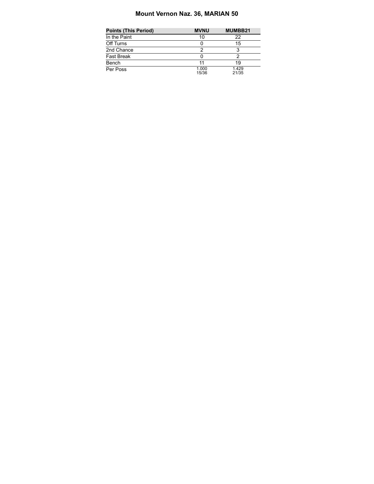# **Mount Vernon Naz. 36, MARIAN 50**

| Points (This Period) | <b>MVNU</b>    | MUMBB21        |
|----------------------|----------------|----------------|
| In the Paint         | 10             | 22             |
| Off Turns            |                | 15             |
| 2nd Chance           | ◠              |                |
| Fast Break           |                |                |
| Bench                | 11             | 1 Q            |
| Per Poss             | 1.000<br>15/36 | 1.429<br>21/35 |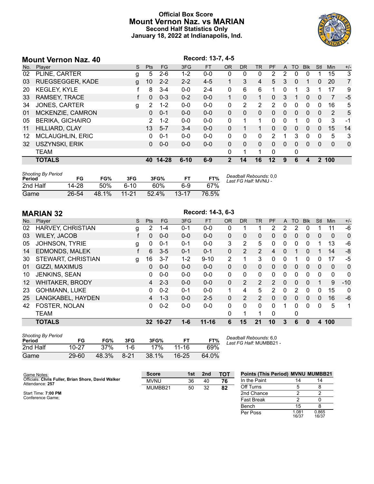# **Official Box Score Mount Vernon Naz. vs MARIAN Second Half Statistics Only January 18, 2022 at Indianapolis, Ind.**



|     | <b>Mount Vernon Naz. 40</b> |   |            |          |          | Record: 13-7, 4-5 |                |                |          |                |          |          |              |              |              |             |
|-----|-----------------------------|---|------------|----------|----------|-------------------|----------------|----------------|----------|----------------|----------|----------|--------------|--------------|--------------|-------------|
| No. | Player                      | S | <b>Pts</b> | FG       | 3FG      | <b>FT</b>         | <b>OR</b>      | D <sub>R</sub> | TR       | PF             | A        | TO       | <b>Blk</b>   | Stl          | Min          | $+/-$       |
| 02  | PLINE, CARTER               | g | 5.         | $2-6$    | $1 - 2$  | $0 - 0$           | 0              | 0              | 0        | $\overline{2}$ | 2        | 0        | $\Omega$     |              | 15           | 3           |
| 03  | <b>RUEGSEGGER, KADE</b>     | g | 10         | $2 - 2$  | $2 - 2$  | $4 - 5$           | 1              | 3              | 4        | 5              | 3        | 0        |              | 0            | 20           | 7           |
| 20  | <b>KEGLEY, KYLE</b>         |   | 8          | $3 - 4$  | $0 - 0$  | $2 - 4$           | $\mathbf{0}$   | 6              | 6        |                | 0        | 1        | 3            |              | 17           | 9           |
| 33  | RAMSEY, TRACE               |   | 0          | $0 - 3$  | $0 - 2$  | $0 - 0$           |                | 0              |          | 0              | 3        |          | $\mathbf{0}$ | 0            | 7            | -5          |
| 34  | <b>JONES, CARTER</b>        | g | 2          | $1 - 2$  | $0 - 0$  | $0 - 0$           | 0              | 2              | 2        | 2              | $\Omega$ | 0        | $\Omega$     | 0            | 16           | 5           |
| 01  | MCKENZIE, CAMRON            |   | 0          | $0 - 1$  | $0 - 0$  | $0 - 0$           | $\Omega$       | $\Omega$       | $\Omega$ | $\Omega$       | $\Omega$ | $\Omega$ | $\Omega$     | $\Omega$     | 2            | 5           |
| 05  | <b>BERIKA, GICHAIRO</b>     |   | 2          | $1 - 2$  | $0 - 0$  | $0 - 0$           | 0              |                |          | 0              | 0        |          | $\Omega$     | $\Omega$     | 3            | $-1$        |
| 11  | HILLIARD, CLAY              |   | 13         | $5 - 7$  | $3 - 4$  | $0 - 0$           | $\Omega$       |                |          | $\Omega$       | $\Omega$ | 0        | $\Omega$     | $\Omega$     | 15           | 14          |
| 12  | <b>MCLAUGHLIN, ERIC</b>     |   | 0          | $0 - 1$  | $0 - 0$  | $0 - 0$           | 0              | $\Omega$       | $\Omega$ | 2              |          | 3        | $\mathbf{0}$ | 0            | 5            | 3           |
| 32  | USZYNSKI, ERIK              |   | 0          | $0 - 0$  | $0 - 0$  | $0 - 0$           | $\Omega$       | $\Omega$       | $\Omega$ | 0              | 0        | 0        | $\Omega$     | $\mathbf{0}$ | $\mathbf{0}$ | $\mathbf 0$ |
|     | <b>TEAM</b>                 |   |            |          |          |                   | $\Omega$       |                |          | $\Omega$       |          | 0        |              |              |              |             |
|     | <b>TOTALS</b>               |   |            | 40 14-28 | $6 - 10$ | $6 - 9$           | $\overline{2}$ | 14             | 16       | $12 \,$        | 9        | 6        | 4            |              | 2 100        |             |
|     |                             |   |            |          |          |                   |                |                |          |                |          |          |              |              |              |             |

| <b>Shooting By Period</b><br>Period | FG    | FG%   | 3FG          | 3FG%     | FT        | FT%   | Deadball Rebounds: 0.0<br>Last FG Half: MVNU - |
|-------------------------------------|-------|-------|--------------|----------|-----------|-------|------------------------------------------------|
| 2nd Half                            | 14-28 | 50%   | <u> 6-10</u> | 60%      | հ-9       | 67%   |                                                |
| Game                                | 26-54 | 48.1% | $11 - 21$    | $52.4\%$ | $13 - 17$ | 76.5% |                                                |

**MARIAN 32 Record: 14-3, 6-3**<br> **No. Player Record: 14-3, 6-3**<br> **Record: 14-3, 6-3** No. Player S Pts FG 3FG FT OR DR TR PF A TO Blk Stl Min +/- HARVEY, CHRISTIAN g 2 1-4 0-1 0-0 0 1 1 2 2 2 0 1 11 -6 WILEY, JACOB f 0 0-0 0-0 0-0 0 0 0 0 0 0 0 0 0 0 JOHNSON, TYRIE g 0 0-1 0-1 0-0 3 2 5 0 0 0 0 1 13 -6 EDMONDS, MALEK f 6 3-5 0-1 0-1 0 2 2 4 0 1 0 1 14 -8 STEWART, CHRISTIAN g 16 3-7 1-2 9-10 2 1 3 0 0 1 0 0 17 -5 GIZZI, MAXIMUS 0 0-0 0-0 0-0 0 0 0 0 0 0 0 0 0 0 JENKINS, SEAN 0 0-0 0-0 0-0 0 0 0 0 0 0 0 0 0 0 WHITAKER, BRODY 4 2-3 0-0 0-0 0 2 2 2 0 0 0 1 9 -10 GOHMANN, LUKE 0 0-2 0-1 0-0 1 4 5 2 0 2 0 0 15 0 LANGKABEL, HAYDEN 4 1-3 0-0 2-5 0 2 2 0 0 0 0 0 16 -6 FOSTER, NOLAN 0 0-2 0-0 0-0 0 0 0 0 1 0 0 0 5 1 TEAM 0 1 1 0 0

**TOTALS 32 10-27 1-6 11-16 6 15 21 10 3 6 0 4 100**

| <b>Shooting By Period</b><br>Period | FG        | FG%   | 3FG    | 3FG%  |           | FT%   |
|-------------------------------------|-----------|-------|--------|-------|-----------|-------|
| 2nd Half                            | $10 - 27$ | 37%   | 1-6    | 17%   | 11-16     | 69%   |
| Game                                | $29 - 60$ | 48.3% | $8-21$ | 38.1% | $16 - 25$ | 64.0% |

*Deadball Rebounds:* 6,0 *Last FG Half:* MUMBB21 -

| Game Notes:                                                           | <b>Score</b> | 1st | 2nd | <b>TOT</b> | <b>Points (This Period) MVNU MUMBB21</b> |                |                |
|-----------------------------------------------------------------------|--------------|-----|-----|------------|------------------------------------------|----------------|----------------|
| Officials: Chris Fuller, Brian Shore, David Walker<br>Attendance: 257 | <b>MVNU</b>  | 36  | 40  | 76         | In the Paint                             |                |                |
|                                                                       | MUMBB21      | 50  | 32  | 82         | Off Turns                                |                |                |
| Start Time: 7:00 PM                                                   |              |     |     |            | 2nd Chance                               |                |                |
| Conference Game;                                                      |              |     |     |            | <b>Fast Break</b>                        |                |                |
|                                                                       |              |     |     |            | Bench                                    | 15             |                |
|                                                                       |              |     |     |            | Per Poss                                 | 1.081<br>16/37 | 0.865<br>16/37 |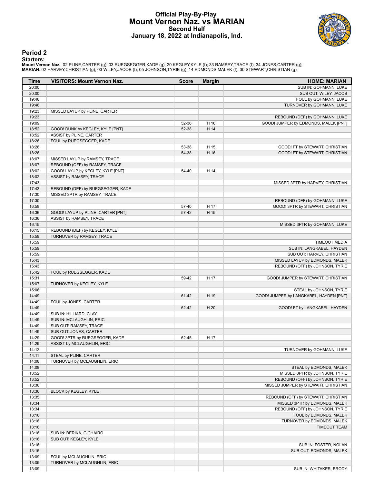# **Official Play-By-Play Mount Vernon Naz. vs MARIAN Second Half January 18, 2022 at Indianapolis, Ind.**



## **Period 2**

## **Starters:**

Mount Vernon Naz.: 02 PLINE,CARTER (g); 03 RUEGSEGGER,KADE (g); 20 KEGLEY,KYLE (f); 33 RAMSEY,TRACE (f); 34 JONES,CARTER (g);<br>MARIAN: 02 HARVEY,CHRISTIAN (g); 03 WILEY,JACOB (f); 05 JOHNSON,TYRIE (g); 14 EDMONDS,MALEK (f);

| Time           | <b>VISITORS: Mount Vernon Naz.</b> | <b>Score</b>   | <b>Margin</b> | <b>HOME: MARIAN</b>                                              |
|----------------|------------------------------------|----------------|---------------|------------------------------------------------------------------|
| 20:00          |                                    |                |               | SUB IN: GOHMANN, LUKE                                            |
| 20:00          |                                    |                |               | SUB OUT: WILEY, JACOB                                            |
| 19:46          |                                    |                |               | FOUL by GOHMANN, LUKE                                            |
| 19:46          |                                    |                |               | TURNOVER by GOHMANN, LUKE                                        |
| 19:23          | MISSED LAYUP by PLINE, CARTER      |                |               |                                                                  |
| 19:23          |                                    |                |               | REBOUND (DEF) by GOHMANN, LUKE                                   |
| 19:09          |                                    | 52-36          | H 16          | GOOD! JUMPER by EDMONDS, MALEK [PNT]                             |
| 18:52          | GOOD! DUNK by KEGLEY, KYLE [PNT]   | 52-38          | H 14          |                                                                  |
| 18:52          | ASSIST by PLINE, CARTER            |                |               |                                                                  |
| 18:26<br>18:26 | FOUL by RUEGSEGGER, KADE           |                |               |                                                                  |
| 18:26          |                                    | 53-38<br>54-38 | H 15<br>H 16  | GOOD! FT by STEWART, CHRISTIAN<br>GOOD! FT by STEWART, CHRISTIAN |
| 18:07          | MISSED LAYUP by RAMSEY, TRACE      |                |               |                                                                  |
| 18:07          | REBOUND (OFF) by RAMSEY, TRACE     |                |               |                                                                  |
| 18:02          | GOOD! LAYUP by KEGLEY, KYLE [PNT]  | 54-40          | H 14          |                                                                  |
| 18:02          | ASSIST by RAMSEY, TRACE            |                |               |                                                                  |
| 17:43          |                                    |                |               | MISSED 3PTR by HARVEY, CHRISTIAN                                 |
| 17:43          | REBOUND (DEF) by RUEGSEGGER, KADE  |                |               |                                                                  |
| 17:30          | MISSED 3PTR by RAMSEY, TRACE       |                |               |                                                                  |
| 17:30          |                                    |                |               | REBOUND (DEF) by GOHMANN, LUKE                                   |
| 16:58          |                                    | 57-40          | H 17          | GOOD! 3PTR by STEWART, CHRISTIAN                                 |
| 16:36          | GOOD! LAYUP by PLINE, CARTER [PNT] | 57-42          | H 15          |                                                                  |
| 16:36          | ASSIST by RAMSEY, TRACE            |                |               |                                                                  |
| 16:15          |                                    |                |               | MISSED 3PTR by GOHMANN, LUKE                                     |
| 16:15          | REBOUND (DEF) by KEGLEY, KYLE      |                |               |                                                                  |
| 15:59          | TURNOVER by RAMSEY, TRACE          |                |               |                                                                  |
| 15:59          |                                    |                |               | <b>TIMEOUT MEDIA</b>                                             |
| 15:59          |                                    |                |               | SUB IN: LANGKABEL, HAYDEN                                        |
| 15:59          |                                    |                |               | SUB OUT: HARVEY, CHRISTIAN                                       |
| 15:43          |                                    |                |               | MISSED LAYUP by EDMONDS, MALEK                                   |
| 15:43          |                                    |                |               | REBOUND (OFF) by JOHNSON, TYRIE                                  |
| 15:42          | FOUL by RUEGSEGGER, KADE           |                |               |                                                                  |
| 15:31          |                                    | 59-42          | H 17          | GOOD! JUMPER by STEWART, CHRISTIAN                               |
| 15:07          | TURNOVER by KEGLEY, KYLE           |                |               |                                                                  |
| 15:06          |                                    |                |               | STEAL by JOHNSON, TYRIE                                          |
| 14:49          |                                    | 61-42          | H 19          | GOOD! JUMPER by LANGKABEL, HAYDEN [PNT]                          |
| 14:49<br>14:49 | FOUL by JONES, CARTER              | 62-42          | H 20          | GOOD! FT by LANGKABEL, HAYDEN                                    |
| 14:49          | SUB IN: HILLIARD, CLAY             |                |               |                                                                  |
| 14:49          | SUB IN: MCLAUGHLIN, ERIC           |                |               |                                                                  |
| 14:49          | SUB OUT: RAMSEY, TRACE             |                |               |                                                                  |
| 14:49          | SUB OUT: JONES, CARTER             |                |               |                                                                  |
| 14:29          | GOOD! 3PTR by RUEGSEGGER, KADE     | 62-45          | H 17          |                                                                  |
| 14:29          | ASSIST by MCLAUGHLIN, ERIC         |                |               |                                                                  |
| 14:12          |                                    |                |               | TURNOVER by GOHMANN, LUKE                                        |
| 14:11          | STEAL by PLINE, CARTER             |                |               |                                                                  |
| 14:08          | TURNOVER by MCLAUGHLIN, ERIC       |                |               |                                                                  |
| 14:08          |                                    |                |               | STEAL by EDMONDS, MALEK                                          |
| 13:52          |                                    |                |               | MISSED 3PTR by JOHNSON, TYRIE                                    |
| 13:52          |                                    |                |               | REBOUND (OFF) by JOHNSON, TYRIE                                  |
| 13:36          |                                    |                |               | MISSED JUMPER by STEWART, CHRISTIAN                              |
| 13:36          | BLOCK by KEGLEY, KYLE              |                |               |                                                                  |
| 13:35          |                                    |                |               | REBOUND (OFF) by STEWART, CHRISTIAN                              |
| 13:34          |                                    |                |               | MISSED 3PTR by EDMONDS, MALEK                                    |
| 13:34          |                                    |                |               | REBOUND (OFF) by JOHNSON, TYRIE                                  |
| 13:16          |                                    |                |               | FOUL by EDMONDS, MALEK                                           |
| 13:16          |                                    |                |               | TURNOVER by EDMONDS, MALEK                                       |
| 13:16          |                                    |                |               | <b>TIMEOUT TEAM</b>                                              |
| 13:16          | SUB IN: BERIKA, GICHAIRO           |                |               |                                                                  |
| 13:16          | SUB OUT: KEGLEY, KYLE              |                |               |                                                                  |
| 13:16          |                                    |                |               | SUB IN: FOSTER, NOLAN                                            |
| 13:16          |                                    |                |               | SUB OUT: EDMONDS, MALEK                                          |
| 13:09          | FOUL by MCLAUGHLIN, ERIC           |                |               |                                                                  |
| 13:09          | TURNOVER by MCLAUGHLIN, ERIC       |                |               |                                                                  |
| 13:09          |                                    |                |               | SUB IN: WHITAKER, BRODY                                          |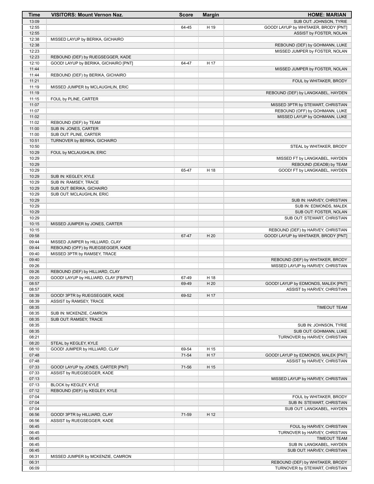| Time           | <b>VISITORS: Mount Vernon Naz.</b>                                         | <b>Score</b> | <b>Margin</b> | <b>HOME: MARIAN</b>                                                   |
|----------------|----------------------------------------------------------------------------|--------------|---------------|-----------------------------------------------------------------------|
| 13:09          |                                                                            |              |               | SUB OUT: JOHNSON, TYRIE                                               |
| 12:55          |                                                                            | 64-45        | H 19          | GOOD! LAYUP by WHITAKER, BRODY [PNT]                                  |
| 12:55          |                                                                            |              |               | ASSIST by FOSTER, NOLAN                                               |
| 12:38          | MISSED LAYUP by BERIKA, GICHAIRO                                           |              |               |                                                                       |
| 12:38          |                                                                            |              |               | REBOUND (DEF) by GOHMANN, LUKE                                        |
| 12:23          |                                                                            |              |               | MISSED JUMPER by FOSTER, NOLAN                                        |
| 12:23<br>12:10 | REBOUND (DEF) by RUEGSEGGER, KADE<br>GOOD! LAYUP by BERIKA, GICHAIRO [PNT] | 64-47        | H 17          |                                                                       |
| 11:44          |                                                                            |              |               | MISSED JUMPER by FOSTER, NOLAN                                        |
| 11:44          | REBOUND (DEF) by BERIKA, GICHAIRO                                          |              |               |                                                                       |
| 11:21          |                                                                            |              |               | FOUL by WHITAKER, BRODY                                               |
| 11:19          | MISSED JUMPER by MCLAUGHLIN, ERIC                                          |              |               |                                                                       |
| 11:19          |                                                                            |              |               | REBOUND (DEF) by LANGKABEL, HAYDEN                                    |
| 11:15          | FOUL by PLINE, CARTER                                                      |              |               |                                                                       |
| 11:07          |                                                                            |              |               | MISSED 3PTR by STEWART, CHRISTIAN                                     |
| 11:07          |                                                                            |              |               | REBOUND (OFF) by GOHMANN, LUKE                                        |
| 11:02          |                                                                            |              |               | MISSED LAYUP by GOHMANN, LUKE                                         |
| 11:02          | REBOUND (DEF) by TEAM                                                      |              |               |                                                                       |
| 11:00          | SUB IN: JONES, CARTER                                                      |              |               |                                                                       |
| 11:00          | SUB OUT: PLINE, CARTER                                                     |              |               |                                                                       |
| 10:51          | TURNOVER by BERIKA, GICHAIRO                                               |              |               |                                                                       |
| 10:50          |                                                                            |              |               | STEAL by WHITAKER, BRODY                                              |
| 10:29<br>10:29 | FOUL by MCLAUGHLIN, ERIC                                                   |              |               |                                                                       |
| 10:29          |                                                                            |              |               | MISSED FT by LANGKABEL, HAYDEN<br>REBOUND (DEADB) by TEAM             |
| 10:29          |                                                                            | 65-47        | H 18          | GOOD! FT by LANGKABEL, HAYDEN                                         |
| 10:29          | SUB IN: KEGLEY, KYLE                                                       |              |               |                                                                       |
| 10:29          | SUB IN: RAMSEY, TRACE                                                      |              |               |                                                                       |
| 10:29          | SUB OUT: BERIKA, GICHAIRO                                                  |              |               |                                                                       |
| 10:29          | SUB OUT: MCLAUGHLIN, ERIC                                                  |              |               |                                                                       |
| 10:29          |                                                                            |              |               | SUB IN: HARVEY, CHRISTIAN                                             |
| 10:29          |                                                                            |              |               | SUB IN: EDMONDS, MALEK                                                |
| 10:29          |                                                                            |              |               | SUB OUT: FOSTER, NOLAN                                                |
| 10:29          |                                                                            |              |               | SUB OUT: STEWART, CHRISTIAN                                           |
| 10:15          | MISSED JUMPER by JONES, CARTER                                             |              |               |                                                                       |
| 10:15          |                                                                            |              |               | REBOUND (DEF) by HARVEY, CHRISTIAN                                    |
| 09:58          |                                                                            | 67-47        | H 20          | GOOD! LAYUP by WHITAKER, BRODY [PNT]                                  |
| 09:44          | MISSED JUMPER by HILLIARD, CLAY                                            |              |               |                                                                       |
| 09:44          | REBOUND (OFF) by RUEGSEGGER, KADE                                          |              |               |                                                                       |
| 09:40<br>09:40 | MISSED 3PTR by RAMSEY, TRACE                                               |              |               |                                                                       |
| 09:26          |                                                                            |              |               | REBOUND (DEF) by WHITAKER, BRODY<br>MISSED LAYUP by HARVEY, CHRISTIAN |
| 09:26          | REBOUND (DEF) by HILLIARD, CLAY                                            |              |               |                                                                       |
| 09:20          | GOOD! LAYUP by HILLIARD, CLAY [FB/PNT]                                     | 67-49        | H 18          |                                                                       |
| 08:57          |                                                                            | 69-49        | H 20          | GOOD! LAYUP by EDMONDS, MALEK [PNT]                                   |
| 08:57          |                                                                            |              |               | ASSIST by HARVEY, CHRISTIAN                                           |
| 08:39          | GOOD! 3PTR by RUEGSEGGER, KADE                                             | 69-52        | H 17          |                                                                       |
| 08:39          | ASSIST by RAMSEY, TRACE                                                    |              |               |                                                                       |
| 08:35          |                                                                            |              |               | <b>TIMEOUT TEAM</b>                                                   |
| 08:35          | SUB IN: MCKENZIE, CAMRON                                                   |              |               |                                                                       |
| 08:35          | SUB OUT: RAMSEY, TRACE                                                     |              |               |                                                                       |
| 08:35          |                                                                            |              |               | SUB IN: JOHNSON, TYRIE                                                |
| 08:35          |                                                                            |              |               | SUB OUT: GOHMANN, LUKE                                                |
| 08:21          |                                                                            |              |               | TURNOVER by HARVEY, CHRISTIAN                                         |
| 08:20          | STEAL by KEGLEY, KYLE                                                      |              |               |                                                                       |
| 08:10          | GOOD! JUMPER by HILLIARD, CLAY                                             | 69-54        | H 15          |                                                                       |
| 07:48<br>07:48 |                                                                            | 71-54        | H 17          | GOOD! LAYUP by EDMONDS, MALEK [PNT]<br>ASSIST by HARVEY, CHRISTIAN    |
| 07:33          | GOOD! LAYUP by JONES, CARTER [PNT]                                         | 71-56        | H 15          |                                                                       |
| 07:33          | ASSIST by RUEGSEGGER, KADE                                                 |              |               |                                                                       |
| 07:13          |                                                                            |              |               | MISSED LAYUP by HARVEY, CHRISTIAN                                     |
| 07:13          | BLOCK by KEGLEY, KYLE                                                      |              |               |                                                                       |
| 07:12          | REBOUND (DEF) by KEGLEY, KYLE                                              |              |               |                                                                       |
| 07:04          |                                                                            |              |               | FOUL by WHITAKER, BRODY                                               |
| 07:04          |                                                                            |              |               | SUB IN: STEWART, CHRISTIAN                                            |
| 07:04          |                                                                            |              |               | SUB OUT: LANGKABEL, HAYDEN                                            |
| 06:56          | GOOD! 3PTR by HILLIARD, CLAY                                               | 71-59        | H 12          |                                                                       |
| 06:56          | ASSIST by RUEGSEGGER, KADE                                                 |              |               |                                                                       |
| 06:45          |                                                                            |              |               | FOUL by HARVEY, CHRISTIAN                                             |
| 06:45          |                                                                            |              |               | TURNOVER by HARVEY, CHRISTIAN                                         |
| 06:45          |                                                                            |              |               | <b>TIMEOUT TEAM</b>                                                   |
| 06:45          |                                                                            |              |               | SUB IN: LANGKABEL, HAYDEN                                             |
| 06:45          |                                                                            |              |               | SUB OUT: HARVEY, CHRISTIAN                                            |
| 06:31          | MISSED JUMPER by MCKENZIE, CAMRON                                          |              |               |                                                                       |
| 06:31          |                                                                            |              |               | REBOUND (DEF) by WHITAKER, BRODY                                      |
| 06:09          |                                                                            |              |               | TURNOVER by STEWART, CHRISTIAN                                        |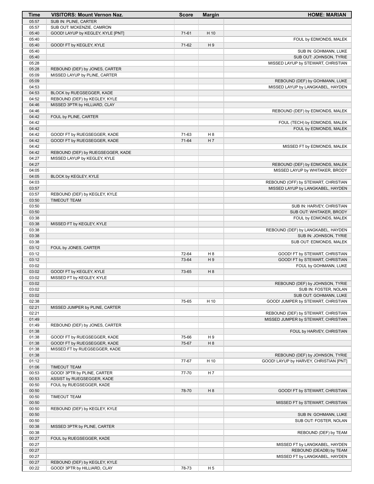| Time           | <b>VISITORS: Mount Vernon Naz.</b>                            | <b>Score</b> | <b>Margin</b>  | <b>HOME: MARIAN</b>                                          |
|----------------|---------------------------------------------------------------|--------------|----------------|--------------------------------------------------------------|
| 05:57          | SUB IN: PLINE, CARTER                                         |              |                |                                                              |
| 05:57          | SUB OUT: MCKENZIE, CAMRON                                     |              |                |                                                              |
| 05:40<br>05:40 | GOOD! LAYUP by KEGLEY, KYLE [PNT]                             | $71-61$      | H 10           |                                                              |
| 05:40          | GOOD! FT by KEGLEY, KYLE                                      | 71-62        | H9             | FOUL by EDMONDS, MALEK                                       |
| 05:40          |                                                               |              |                | SUB IN: GOHMANN, LUKE                                        |
| 05:40          |                                                               |              |                | SUB OUT: JOHNSON, TYRIE                                      |
| 05:28          |                                                               |              |                | MISSED LAYUP by STEWART, CHRISTIAN                           |
| 05:28          | REBOUND (DEF) by JONES, CARTER                                |              |                |                                                              |
| 05:09          | MISSED LAYUP by PLINE, CARTER                                 |              |                |                                                              |
| 05:09          |                                                               |              |                | REBOUND (DEF) by GOHMANN, LUKE                               |
| 04:53<br>04:53 |                                                               |              |                | MISSED LAYUP by LANGKABEL, HAYDEN                            |
| 04:52          | BLOCK by RUEGSEGGER, KADE<br>REBOUND (DEF) by KEGLEY, KYLE    |              |                |                                                              |
| 04:46          | MISSED 3PTR by HILLIARD, CLAY                                 |              |                |                                                              |
| 04:46          |                                                               |              |                | REBOUND (DEF) by EDMONDS, MALEK                              |
| 04:42          | FOUL by PLINE, CARTER                                         |              |                |                                                              |
| 04:42          |                                                               |              |                | FOUL (TECH) by EDMONDS, MALEK                                |
| 04:42          |                                                               |              |                | FOUL by EDMONDS, MALEK                                       |
| 04:42          | GOOD! FT by RUEGSEGGER, KADE                                  | 71-63        | H <sub>8</sub> |                                                              |
| 04:42<br>04:42 | GOOD! FT by RUEGSEGGER, KADE                                  | 71-64        | H <sub>7</sub> | MISSED FT by EDMONDS, MALEK                                  |
| 04:42          | REBOUND (DEF) by RUEGSEGGER, KADE                             |              |                |                                                              |
| 04:27          | MISSED LAYUP by KEGLEY, KYLE                                  |              |                |                                                              |
| 04:27          |                                                               |              |                | REBOUND (DEF) by EDMONDS, MALEK                              |
| 04:05          |                                                               |              |                | MISSED LAYUP by WHITAKER, BRODY                              |
| 04:05          | BLOCK by KEGLEY, KYLE                                         |              |                |                                                              |
| 04:03          |                                                               |              |                | REBOUND (OFF) by STEWART, CHRISTIAN                          |
| 03:57          |                                                               |              |                | MISSED LAYUP by LANGKABEL, HAYDEN                            |
| 03:57<br>03:50 | REBOUND (DEF) by KEGLEY, KYLE<br><b>TIMEOUT TEAM</b>          |              |                |                                                              |
| 03:50          |                                                               |              |                | SUB IN: HARVEY, CHRISTIAN                                    |
| 03:50          |                                                               |              |                | SUB OUT: WHITAKER, BRODY                                     |
| 03:38          |                                                               |              |                | FOUL by EDMONDS, MALEK                                       |
| 03:38          | MISSED FT by KEGLEY, KYLE                                     |              |                |                                                              |
| 03:38          |                                                               |              |                | REBOUND (DEF) by LANGKABEL, HAYDEN                           |
| 03:38          |                                                               |              |                | SUB IN: JOHNSON, TYRIE                                       |
| 03:38<br>03:12 |                                                               |              |                | SUB OUT: EDMONDS, MALEK                                      |
| 03:12          | FOUL by JONES, CARTER                                         | 72-64        | H <sub>8</sub> | GOOD! FT by STEWART, CHRISTIAN                               |
| 03:12          |                                                               | 73-64        | H9             | GOOD! FT by STEWART, CHRISTIAN                               |
| 03:02          |                                                               |              |                | FOUL by GOHMANN, LUKE                                        |
| 03:02          | GOOD! FT by KEGLEY, KYLE                                      | 73-65        | H 8            |                                                              |
| 03:02          | MISSED FT by KEGLEY, KYLE                                     |              |                |                                                              |
| 03:02          |                                                               |              |                | REBOUND (DEF) by JOHNSON, TYRIE                              |
| 03:02          |                                                               |              |                | SUB IN: FOSTER, NOLAN                                        |
| 03:02<br>02:38 |                                                               | 75-65        | H 10           | SUB OUT: GOHMANN, LUKE<br>GOOD! JUMPER by STEWART, CHRISTIAN |
| 02:21          | MISSED JUMPER by PLINE, CARTER                                |              |                |                                                              |
| 02:21          |                                                               |              |                | REBOUND (DEF) by STEWART, CHRISTIAN                          |
| 01:49          |                                                               |              |                | MISSED JUMPER by STEWART, CHRISTIAN                          |
| 01:49          | REBOUND (DEF) by JONES, CARTER                                |              |                |                                                              |
| 01:38          |                                                               |              |                | FOUL by HARVEY, CHRISTIAN                                    |
| 01:38          | GOOD! FT by RUEGSEGGER, KADE                                  | 75-66        | H9             |                                                              |
| 01:38          | GOOD! FT by RUEGSEGGER, KADE                                  | 75-67        | H 8            |                                                              |
| 01:38<br>01:38 | MISSED FT by RUEGSEGGER, KADE                                 |              |                | REBOUND (DEF) by JOHNSON, TYRIE                              |
| 01:12          |                                                               | 77-67        | H 10           | GOOD! LAYUP by HARVEY, CHRISTIAN [PNT]                       |
| 01:06          | <b>TIMEOUT TEAM</b>                                           |              |                |                                                              |
| 00:53          | GOOD! 3PTR by PLINE, CARTER                                   | 77-70        | H 7            |                                                              |
| 00:53          | ASSIST by RUEGSEGGER, KADE                                    |              |                |                                                              |
| 00:50          | FOUL by RUEGSEGGER, KADE                                      |              |                |                                                              |
| 00:50          |                                                               | 78-70        | H <sub>8</sub> | GOOD! FT by STEWART, CHRISTIAN                               |
| 00:50          | <b>TIMEOUT TEAM</b>                                           |              |                |                                                              |
| 00:50<br>00:50 | REBOUND (DEF) by KEGLEY, KYLE                                 |              |                | MISSED FT by STEWART, CHRISTIAN                              |
| 00:50          |                                                               |              |                | SUB IN: GOHMANN, LUKE                                        |
| 00:50          |                                                               |              |                | SUB OUT: FOSTER, NOLAN                                       |
| 00:38          | MISSED 3PTR by PLINE, CARTER                                  |              |                |                                                              |
| 00:38          |                                                               |              |                | REBOUND (DEF) by TEAM                                        |
| 00:27          | FOUL by RUEGSEGGER, KADE                                      |              |                |                                                              |
| 00:27          |                                                               |              |                | MISSED FT by LANGKABEL, HAYDEN                               |
| 00:27          |                                                               |              |                | REBOUND (DEADB) by TEAM                                      |
| 00:27          |                                                               |              |                | MISSED FT by LANGKABEL, HAYDEN                               |
| 00:27<br>00:22 | REBOUND (DEF) by KEGLEY, KYLE<br>GOOD! 3PTR by HILLIARD, CLAY | 78-73        | H <sub>5</sub> |                                                              |
|                |                                                               |              |                |                                                              |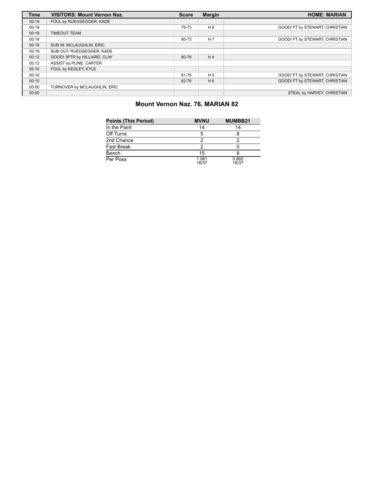| <b>Time</b> | <b>VISITORS: Mount Vernon Naz.</b> | <b>Score</b> | <b>Margin</b>  | <b>HOME: MARIAN</b>            |
|-------------|------------------------------------|--------------|----------------|--------------------------------|
| 00:19       | FOUL by RUEGSEGGER, KADE           |              |                |                                |
| 00:19       |                                    | 79-73        | H <sub>6</sub> | GOOD! FT by STEWART, CHRISTIAN |
| 00:19       | <b>TIMEOUT TEAM</b>                |              |                |                                |
| 00:19       |                                    | 80-73        | H <sub>7</sub> | GOOD! FT by STEWART, CHRISTIAN |
| 00:19       | SUB IN: MCLAUGHLIN, ERIC           |              |                |                                |
| 00:19       | SUB OUT: RUEGSEGGER, KADE          |              |                |                                |
| 00:12       | GOOD! 3PTR by HILLIARD, CLAY       | 80-76        | H <sub>4</sub> |                                |
| 00:12       | ASSIST by PLINE, CARTER            |              |                |                                |
| 00:10       | FOUL by KEGLEY, KYLE               |              |                |                                |
| 00:10       |                                    | 81-76        | H <sub>5</sub> | GOOD! FT by STEWART, CHRISTIAN |
| 00:10       |                                    | 82-76        | H <sub>6</sub> | GOOD! FT by STEWART, CHRISTIAN |
| 00:00       | TURNOVER by MCLAUGHLIN, ERIC       |              |                |                                |
| 00:00       |                                    |              |                | STEAL by HARVEY, CHRISTIAN     |

# **Mount Vernon Naz. 76, MARIAN 82**

| <b>Points (This Period)</b> | <b>MVNU</b>    | MUMBB21        |
|-----------------------------|----------------|----------------|
| In the Paint                | 14             | 14             |
| Off Turns                   | 5              |                |
| 2nd Chance                  | 2              |                |
| <b>Fast Break</b>           | 2              |                |
| Bench                       | 15             |                |
| Per Poss                    | 1.081<br>16/37 | 0.865<br>16/37 |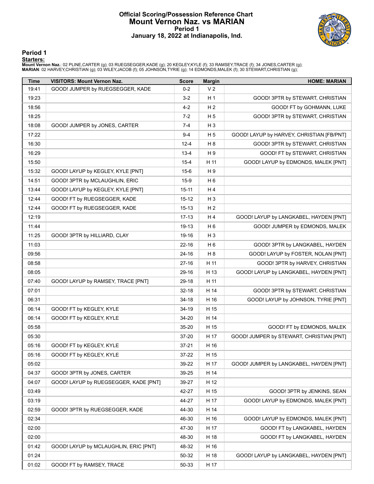# **Official Scoring/Possession Reference Chart Mount Vernon Naz. vs MARIAN Period 1 January 18, 2022 at Indianapolis, Ind.**



**Period 1**

<mark>Starters:</mark><br>Mount Vernon Naz.: 02 PLINE,CARTER (g); 03 RUEGSEGGER,KADE (g); 20 KEGLEY,KYLE (f); 33 RAMSEY,TRACE (f); 34 JONES,CARTER (g);<br>MARIAN: 02 HARVEY,CHRISTIAN (g); 03 WILEY,JACOB (f); 05 JOHNSON,TYRIE (g); 14 EDMOND

| <b>Time</b> | <b>VISITORS: Mount Vernon Naz.</b>    | <b>Score</b> | <b>Margin</b>  | <b>HOME: MARIAN</b>                       |
|-------------|---------------------------------------|--------------|----------------|-------------------------------------------|
| 19:41       | GOOD! JUMPER by RUEGSEGGER, KADE      | $0 - 2$      | V <sub>2</sub> |                                           |
| 19:23       |                                       | $3 - 2$      | H <sub>1</sub> | GOOD! 3PTR by STEWART, CHRISTIAN          |
| 18:56       |                                       | $4 - 2$      | H <sub>2</sub> | GOOD! FT by GOHMANN, LUKE                 |
| 18:25       |                                       | $7 - 2$      | H <sub>5</sub> | GOOD! 3PTR by STEWART, CHRISTIAN          |
| 18:08       | GOOD! JUMPER by JONES, CARTER         | $7 - 4$      | $H_3$          |                                           |
| 17:22       |                                       | $9 - 4$      | H <sub>5</sub> | GOOD! LAYUP by HARVEY, CHRISTIAN [FB/PNT] |
| 16:30       |                                       | $12 - 4$     | H <sub>8</sub> | GOOD! 3PTR by STEWART, CHRISTIAN          |
| 16:29       |                                       | $13 - 4$     | H <sub>9</sub> | GOOD! FT by STEWART, CHRISTIAN            |
| 15:50       |                                       | $15 - 4$     | H 11           | GOOD! LAYUP by EDMONDS, MALEK [PNT]       |
| 15:32       | GOOD! LAYUP by KEGLEY, KYLE [PNT]     | $15-6$       | H 9            |                                           |
| 14:51       | GOOD! 3PTR by MCLAUGHLIN, ERIC        | $15-9$       | H <sub>6</sub> |                                           |
| 13:44       | GOOD! LAYUP by KEGLEY, KYLE [PNT]     | $15 - 11$    | H4             |                                           |
| 12:44       | GOOD! FT by RUEGSEGGER, KADE          | $15 - 12$    | $H_3$          |                                           |
| 12:44       | GOOD! FT by RUEGSEGGER, KADE          | $15 - 13$    | H <sub>2</sub> |                                           |
| 12:19       |                                       | $17 - 13$    | H4             | GOOD! LAYUP by LANGKABEL, HAYDEN [PNT]    |
| 11:44       |                                       | 19-13        | H <sub>6</sub> | GOOD! JUMPER by EDMONDS, MALEK            |
| 11:25       | GOOD! 3PTR by HILLIARD, CLAY          | 19-16        | $H_3$          |                                           |
| 11:03       |                                       | $22 - 16$    | H <sub>6</sub> | GOOD! 3PTR by LANGKABEL, HAYDEN           |
| 09:56       |                                       | $24 - 16$    | H <sub>8</sub> | GOOD! LAYUP by FOSTER, NOLAN [PNT]        |
| 08:58       |                                       | $27-16$      | H 11           | GOOD! 3PTR by HARVEY, CHRISTIAN           |
| 08:05       |                                       | 29-16        | H 13           | GOOD! LAYUP by LANGKABEL, HAYDEN [PNT]    |
| 07:40       | GOOD! LAYUP by RAMSEY, TRACE [PNT]    | 29-18        | H 11           |                                           |
| 07:01       |                                       | $32 - 18$    | H 14           | GOOD! 3PTR by STEWART, CHRISTIAN          |
| 06:31       |                                       | $34-18$      | H 16           | GOOD! LAYUP by JOHNSON, TYRIE [PNT]       |
| 06:14       | GOOD! FT by KEGLEY, KYLE              | 34-19        | H 15           |                                           |
| 06:14       | GOOD! FT by KEGLEY, KYLE              | 34-20        | H 14           |                                           |
| 05:58       |                                       | 35-20        | H 15           | GOOD! FT by EDMONDS, MALEK                |
| 05:30       |                                       | 37-20        | H 17           | GOOD! JUMPER by STEWART, CHRISTIAN [PNT]  |
| 05:16       | GOOD! FT by KEGLEY, KYLE              | $37 - 21$    | H 16           |                                           |
| 05:16       | GOOD! FT by KEGLEY, KYLE              | 37-22        | H 15           |                                           |
| 05:02       |                                       | 39-22        | H 17           | GOOD! JUMPER by LANGKABEL, HAYDEN [PNT]   |
| 04:37       | GOOD! 3PTR by JONES, CARTER           | 39-25        | H 14           |                                           |
| 04:07       | GOOD! LAYUP by RUEGSEGGER, KADE [PNT] | 39-27        | H 12           |                                           |
| 03:49       |                                       | 42-27        | H 15           | GOOD! 3PTR by JENKINS, SEAN               |
| 03:19       |                                       | 44-27        | H 17           | GOOD! LAYUP by EDMONDS, MALEK [PNT]       |
| 02:59       | GOOD! 3PTR by RUEGSEGGER, KADE        | 44-30        | H 14           |                                           |
| 02:34       |                                       | 46-30        | H 16           | GOOD! LAYUP by EDMONDS, MALEK [PNT]       |
| 02:00       |                                       | 47-30        | H 17           | GOOD! FT by LANGKABEL, HAYDEN             |
| 02:00       |                                       | 48-30        | H 18           | GOOD! FT by LANGKABEL, HAYDEN             |
| 01:42       | GOOD! LAYUP by MCLAUGHLIN, ERIC [PNT] | 48-32        | H 16           |                                           |
| 01:24       |                                       | 50-32        | H 18           | GOOD! LAYUP by LANGKABEL, HAYDEN [PNT]    |
| 01:02       | GOOD! FT by RAMSEY, TRACE             | 50-33        | H 17           |                                           |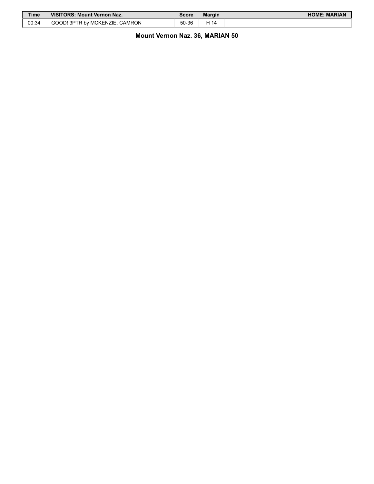| <b>Time</b> | <b>VISITORS: Mount Vernon Naz.</b> | Score | <b>Margin</b> | <b>HOME: MARIAN</b> |
|-------------|------------------------------------|-------|---------------|---------------------|
| 00:34       | GOOD! 3PTR by MCKENZIE.<br>CAMRON  | 50-36 | 414           |                     |

# **Mount Vernon Naz. 36, MARIAN 50**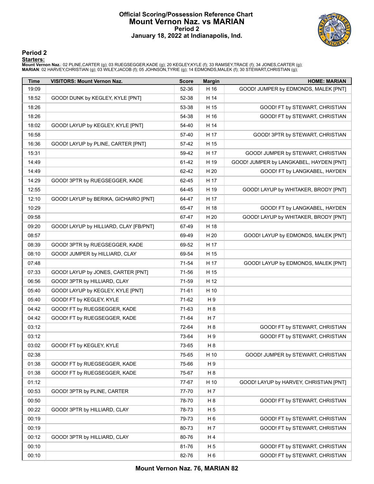# **Official Scoring/Possession Reference Chart Mount Vernon Naz. vs MARIAN Period 2 January 18, 2022 at Indianapolis, Ind.**



**Period 2**

## **Starters:**

Mount Vernon Naz.: 02 PLINE,CARTER (g); 03 RUEGSEGGER,KADE (g); 20 KEGLEY,KYLE (f); 33 RAMSEY,TRACE (f); 34 JONES,CARTER (g);<br>MARIAN: 02 HARVEY,CHRISTIAN (g); 03 WILEY,JACOB (f); 05 JOHNSON,TYRIE (g); 14 EDMONDS,MALEK (f);

| Time  | <b>VISITORS: Mount Vernon Naz.</b>     | <b>Score</b> | <b>Margin</b>  | <b>HOME: MARIAN</b>                     |
|-------|----------------------------------------|--------------|----------------|-----------------------------------------|
| 19:09 |                                        | 52-36        | H 16           | GOOD! JUMPER by EDMONDS, MALEK [PNT]    |
| 18:52 | GOOD! DUNK by KEGLEY, KYLE [PNT]       | 52-38        | H 14           |                                         |
| 18:26 |                                        | 53-38        | H 15           | GOOD! FT by STEWART, CHRISTIAN          |
| 18:26 |                                        | 54-38        | H 16           | GOOD! FT by STEWART, CHRISTIAN          |
| 18:02 | GOOD! LAYUP by KEGLEY, KYLE [PNT]      | 54-40        | H 14           |                                         |
| 16:58 |                                        | 57-40        | H 17           | GOOD! 3PTR by STEWART, CHRISTIAN        |
| 16:36 | GOOD! LAYUP by PLINE, CARTER [PNT]     | 57-42        | H 15           |                                         |
| 15:31 |                                        | 59-42        | H 17           | GOOD! JUMPER by STEWART, CHRISTIAN      |
| 14:49 |                                        | 61-42        | H 19           | GOOD! JUMPER by LANGKABEL, HAYDEN [PNT] |
| 14:49 |                                        | 62-42        | H 20           | GOOD! FT by LANGKABEL, HAYDEN           |
| 14:29 | GOOD! 3PTR by RUEGSEGGER, KADE         | 62-45        | H 17           |                                         |
| 12:55 |                                        | 64-45        | H 19           | GOOD! LAYUP by WHITAKER, BRODY [PNT]    |
| 12:10 | GOOD! LAYUP by BERIKA, GICHAIRO [PNT]  | 64-47        | H 17           |                                         |
| 10:29 |                                        | 65-47        | H 18           | GOOD! FT by LANGKABEL, HAYDEN           |
| 09:58 |                                        | 67-47        | H 20           | GOOD! LAYUP by WHITAKER, BRODY [PNT]    |
| 09:20 | GOOD! LAYUP by HILLIARD, CLAY [FB/PNT] | 67-49        | H 18           |                                         |
| 08:57 |                                        | 69-49        | H 20           | GOOD! LAYUP by EDMONDS, MALEK [PNT]     |
| 08:39 | GOOD! 3PTR by RUEGSEGGER, KADE         | 69-52        | H 17           |                                         |
| 08:10 | GOOD! JUMPER by HILLIARD, CLAY         | 69-54        | H 15           |                                         |
| 07:48 |                                        | 71-54        | H 17           | GOOD! LAYUP by EDMONDS, MALEK [PNT]     |
| 07:33 | GOOD! LAYUP by JONES, CARTER [PNT]     | 71-56        | H 15           |                                         |
| 06:56 | GOOD! 3PTR by HILLIARD, CLAY           | 71-59        | H 12           |                                         |
| 05:40 | GOOD! LAYUP by KEGLEY, KYLE [PNT]      | 71-61        | H 10           |                                         |
| 05:40 | GOOD! FT by KEGLEY, KYLE               | 71-62        | H 9            |                                         |
| 04:42 | GOOD! FT by RUEGSEGGER, KADE           | 71-63        | H <sub>8</sub> |                                         |
| 04:42 | GOOD! FT by RUEGSEGGER, KADE           | 71-64        | H <sub>7</sub> |                                         |
| 03:12 |                                        | 72-64        | H 8            | GOOD! FT by STEWART, CHRISTIAN          |
| 03:12 |                                        | 73-64        | H 9            | GOOD! FT by STEWART, CHRISTIAN          |
| 03:02 | GOOD! FT by KEGLEY, KYLE               | 73-65        | H <sub>8</sub> |                                         |
| 02:38 |                                        | 75-65        | H 10           | GOOD! JUMPER by STEWART, CHRISTIAN      |
| 01:38 | GOOD! FT by RUEGSEGGER, KADE           | 75-66        | H 9            |                                         |
| 01:38 | GOOD! FT by RUEGSEGGER, KADE           | 75-67        | H <sub>8</sub> |                                         |
| 01:12 |                                        | 77-67        | H 10           | GOOD! LAYUP by HARVEY, CHRISTIAN [PNT]  |
| 00:53 | GOOD! 3PTR by PLINE, CARTER            | 77-70        | H 7            |                                         |
| 00:50 |                                        | 78-70        | H <sub>8</sub> | GOOD! FT by STEWART, CHRISTIAN          |
| 00:22 | GOOD! 3PTR by HILLIARD, CLAY           | 78-73        | H 5            |                                         |
| 00:19 |                                        | 79-73        | H <sub>6</sub> | GOOD! FT by STEWART, CHRISTIAN          |
| 00:19 |                                        | 80-73        | H 7            | GOOD! FT by STEWART, CHRISTIAN          |
| 00:12 | GOOD! 3PTR by HILLIARD, CLAY           | 80-76        | H 4            |                                         |
| 00:10 |                                        | 81-76        | H 5            | GOOD! FT by STEWART, CHRISTIAN          |
| 00:10 |                                        | 82-76        | H <sub>6</sub> | GOOD! FT by STEWART, CHRISTIAN          |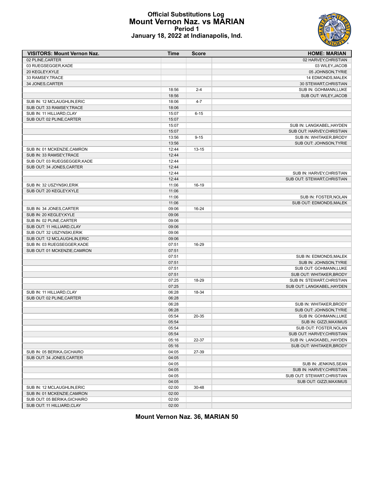# **Official Substitutions Log Mount Vernon Naz. vs MARIAN Period 1 January 18, 2022 at Indianapolis, Ind.**



| <b>VISITORS: Mount Vernon Naz.</b> | Time  | <b>Score</b> | <b>HOME: MARIAN</b>         |
|------------------------------------|-------|--------------|-----------------------------|
| 02 PLINE, CARTER                   |       |              | 02 HARVEY, CHRISTIAN        |
| 03 RUEGSEGGER, KADE                |       |              | 03 WILEY, JACOB             |
| 20 KEGLEY, KYLE                    |       |              | 05 JOHNSON, TYRIE           |
| 33 RAMSEY, TRACE                   |       |              | 14 EDMONDS, MALEK           |
| 34 JONES, CARTER                   |       |              | 30 STEWART, CHRISTIAN       |
|                                    | 18:56 | $2 - 4$      | SUB IN: GOHMANN, LUKE       |
|                                    | 18:56 |              | SUB OUT: WILEY, JACOB       |
| SUB IN: 12 MCLAUGHLIN, ERIC        | 18:06 | $4 - 7$      |                             |
| SUB OUT: 33 RAMSEY, TRACE          | 18:06 |              |                             |
| SUB IN: 11 HILLIARD, CLAY          | 15:07 | $6 - 15$     |                             |
| SUB OUT: 02 PLINE, CARTER          | 15:07 |              |                             |
|                                    | 15:07 |              | SUB IN: LANGKABEL, HAYDEN   |
|                                    | 15:07 |              | SUB OUT: HARVEY, CHRISTIAN  |
|                                    |       | $9 - 15$     | SUB IN: WHITAKER, BRODY     |
|                                    | 13:56 |              |                             |
|                                    | 13:56 |              | SUB OUT: JOHNSON, TYRIE     |
| SUB IN: 01 MCKENZIE, CAMRON        | 12:44 | $13 - 15$    |                             |
| SUB IN: 33 RAMSEY, TRACE           | 12:44 |              |                             |
| SUB OUT: 03 RUEGSEGGER, KADE       | 12:44 |              |                             |
| SUB OUT: 34 JONES, CARTER          | 12:44 |              |                             |
|                                    | 12:44 |              | SUB IN: HARVEY.CHRISTIAN    |
|                                    | 12:44 |              | SUB OUT: STEWART.CHRISTIAN  |
| SUB IN: 32 USZYNSKI, ERIK          | 11:06 | 16-19        |                             |
| SUB OUT: 20 KEGLEY, KYLE           | 11:06 |              |                             |
|                                    | 11:06 |              | SUB IN: FOSTER, NOLAN       |
|                                    | 11:06 |              | SUB OUT: EDMONDS, MALEK     |
| SUB IN: 34 JONES, CARTER           | 09:06 | 16-24        |                             |
| SUB IN: 20 KEGLEY, KYLE            | 09:06 |              |                             |
| SUB IN: 02 PLINE, CARTER           | 09:06 |              |                             |
| SUB OUT: 11 HILLIARD, CLAY         | 09:06 |              |                             |
| SUB OUT: 32 USZYNSKI, ERIK         | 09:06 |              |                             |
| SUB OUT: 12 MCLAUGHLIN, ERIC       | 09:06 |              |                             |
| SUB IN: 03 RUEGSEGGER, KADE        | 07:51 | 16-29        |                             |
| SUB OUT: 01 MCKENZIE, CAMRON       | 07:51 |              |                             |
|                                    | 07:51 |              | SUB IN: EDMONDS, MALEK      |
|                                    | 07:51 |              | SUB IN: JOHNSON, TYRIE      |
|                                    | 07:51 |              | SUB OUT: GOHMANN, LUKE      |
|                                    | 07:51 |              | SUB OUT: WHITAKER, BRODY    |
|                                    | 07:25 | 18-29        |                             |
|                                    |       |              | SUB IN: STEWART, CHRISTIAN  |
|                                    | 07:25 |              | SUB OUT: LANGKABEL, HAYDEN  |
| SUB IN: 11 HILLIARD, CLAY          | 06:28 | 18-34        |                             |
| SUB OUT: 02 PLINE, CARTER          | 06:28 |              |                             |
|                                    | 06:28 |              | SUB IN: WHITAKER, BRODY     |
|                                    | 06:28 |              | SUB OUT: JOHNSON, TYRIE     |
|                                    | 05:54 | 20-35        | SUB IN: GOHMANN, LUKE       |
|                                    | 05:54 |              | SUB IN: GIZZI.MAXIMUS       |
|                                    | 05:54 |              | SUB OUT: FOSTER, NOLAN      |
|                                    | 05:54 |              | SUB OUT: HARVEY, CHRISTIAN  |
|                                    | 05:16 | 22-37        | SUB IN: LANGKABEL, HAYDEN   |
|                                    | 05:16 |              | SUB OUT: WHITAKER, BRODY    |
| SUB IN: 05 BERIKA, GICHAIRO        | 04:05 | 27-39        |                             |
| SUB OUT: 34 JONES, CARTER          | 04:05 |              |                             |
|                                    | 04:05 |              | SUB IN: JENKINS, SEAN       |
|                                    | 04:05 |              | SUB IN: HARVEY, CHRISTIAN   |
|                                    | 04:05 |              | SUB OUT: STEWART, CHRISTIAN |
|                                    | 04:05 |              | SUB OUT: GIZZI, MAXIMUS     |
| SUB IN: 12 MCLAUGHLIN, ERIC        | 02:00 | 30-48        |                             |
| SUB IN: 01 MCKENZIE, CAMRON        | 02:00 |              |                             |
| SUB OUT: 05 BERIKA, GICHAIRO       | 02:00 |              |                             |
| SUB OUT: 11 HILLIARD, CLAY         | 02:00 |              |                             |
|                                    |       |              |                             |

**Mount Vernon Naz. 36, MARIAN 50**